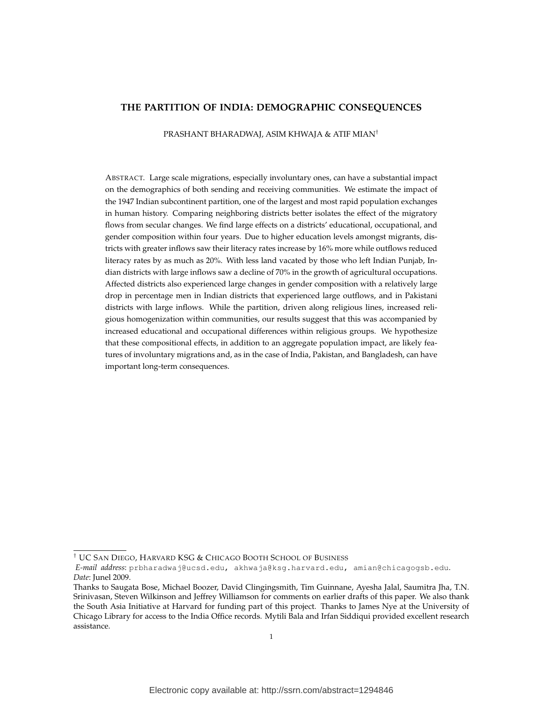# **THE PARTITION OF INDIA: DEMOGRAPHIC CONSEQUENCES**

PRASHANT BHARADWAJ, ASIM KHWAJA & ATIF MIAN†

ABSTRACT. Large scale migrations, especially involuntary ones, can have a substantial impact on the demographics of both sending and receiving communities. We estimate the impact of the 1947 Indian subcontinent partition, one of the largest and most rapid population exchanges in human history. Comparing neighboring districts better isolates the effect of the migratory flows from secular changes. We find large effects on a districts' educational, occupational, and gender composition within four years. Due to higher education levels amongst migrants, districts with greater inflows saw their literacy rates increase by 16% more while outflows reduced literacy rates by as much as 20%. With less land vacated by those who left Indian Punjab, Indian districts with large inflows saw a decline of 70% in the growth of agricultural occupations. Affected districts also experienced large changes in gender composition with a relatively large drop in percentage men in Indian districts that experienced large outflows, and in Pakistani districts with large inflows. While the partition, driven along religious lines, increased religious homogenization within communities, our results suggest that this was accompanied by increased educational and occupational differences within religious groups. We hypothesize that these compositional effects, in addition to an aggregate population impact, are likely features of involuntary migrations and, as in the case of India, Pakistan, and Bangladesh, can have important long-term consequences.

<sup>†</sup> UC SAN DIEGO, HARVARD KSG & CHICAGO BOOTH SCHOOL OF BUSINESS

*E-mail address*: prbharadwaj@ucsd.edu, akhwaja@ksg.harvard.edu, amian@chicagogsb.edu. *Date*: Junel 2009.

Thanks to Saugata Bose, Michael Boozer, David Clingingsmith, Tim Guinnane, Ayesha Jalal, Saumitra Jha, T.N. Srinivasan, Steven Wilkinson and Jeffrey Williamson for comments on earlier drafts of this paper. We also thank the South Asia Initiative at Harvard for funding part of this project. Thanks to James Nye at the University of Chicago Library for access to the India Office records. Mytili Bala and Irfan Siddiqui provided excellent research assistance.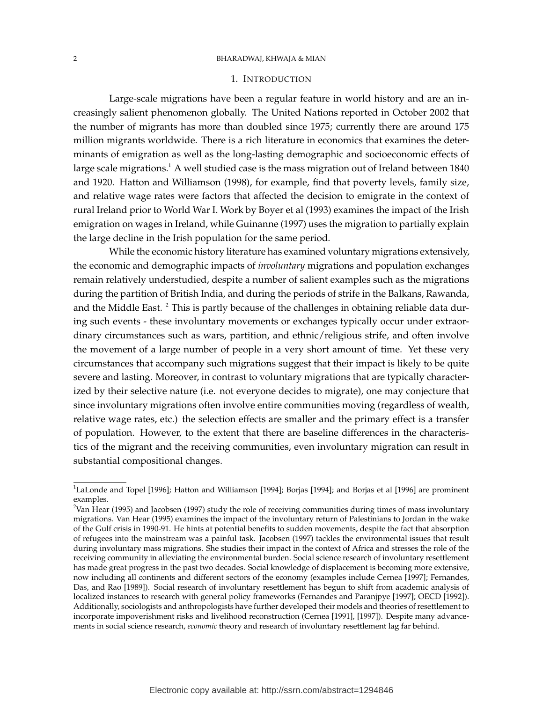#### 2 BHARADWAJ, KHWAJA & MIAN

#### 1. INTRODUCTION

Large-scale migrations have been a regular feature in world history and are an increasingly salient phenomenon globally. The United Nations reported in October 2002 that the number of migrants has more than doubled since 1975; currently there are around 175 million migrants worldwide. There is a rich literature in economics that examines the determinants of emigration as well as the long-lasting demographic and socioeconomic effects of large scale migrations.<sup>1</sup> A well studied case is the mass migration out of Ireland between 1840 and 1920. Hatton and Williamson (1998), for example, find that poverty levels, family size, and relative wage rates were factors that affected the decision to emigrate in the context of rural Ireland prior to World War I. Work by Boyer et al (1993) examines the impact of the Irish emigration on wages in Ireland, while Guinanne (1997) uses the migration to partially explain the large decline in the Irish population for the same period.

While the economic history literature has examined voluntary migrations extensively, the economic and demographic impacts of *involuntary* migrations and population exchanges remain relatively understudied, despite a number of salient examples such as the migrations during the partition of British India, and during the periods of strife in the Balkans, Rawanda, and the Middle East.<sup>2</sup> This is partly because of the challenges in obtaining reliable data during such events - these involuntary movements or exchanges typically occur under extraordinary circumstances such as wars, partition, and ethnic/religious strife, and often involve the movement of a large number of people in a very short amount of time. Yet these very circumstances that accompany such migrations suggest that their impact is likely to be quite severe and lasting. Moreover, in contrast to voluntary migrations that are typically characterized by their selective nature (i.e. not everyone decides to migrate), one may conjecture that since involuntary migrations often involve entire communities moving (regardless of wealth, relative wage rates, etc.) the selection effects are smaller and the primary effect is a transfer of population. However, to the extent that there are baseline differences in the characteristics of the migrant and the receiving communities, even involuntary migration can result in substantial compositional changes.

<sup>&</sup>lt;sup>1</sup>LaLonde and Topel [1996]; Hatton and Williamson [1994]; Borjas [1994]; and Borjas et al [1996] are prominent examples.

<sup>&</sup>lt;sup>2</sup>Van Hear (1995) and Jacobsen (1997) study the role of receiving communities during times of mass involuntary migrations. Van Hear (1995) examines the impact of the involuntary return of Palestinians to Jordan in the wake of the Gulf crisis in 1990-91. He hints at potential benefits to sudden movements, despite the fact that absorption of refugees into the mainstream was a painful task. Jacobsen (1997) tackles the environmental issues that result during involuntary mass migrations. She studies their impact in the context of Africa and stresses the role of the receiving community in alleviating the environmental burden. Social science research of involuntary resettlement has made great progress in the past two decades. Social knowledge of displacement is becoming more extensive, now including all continents and different sectors of the economy (examples include Cernea [1997]; Fernandes, Das, and Rao [1989]). Social research of involuntary resettlement has begun to shift from academic analysis of localized instances to research with general policy frameworks (Fernandes and Paranjpye [1997]; OECD [1992]). Additionally, sociologists and anthropologists have further developed their models and theories of resettlement to incorporate impoverishment risks and livelihood reconstruction (Cernea [1991], [1997]). Despite many advancements in social science research, *economic* theory and research of involuntary resettlement lag far behind.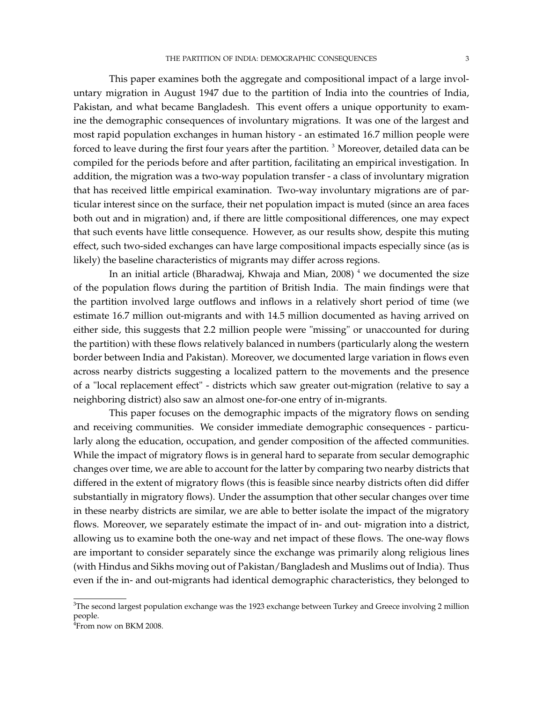This paper examines both the aggregate and compositional impact of a large involuntary migration in August 1947 due to the partition of India into the countries of India, Pakistan, and what became Bangladesh. This event offers a unique opportunity to examine the demographic consequences of involuntary migrations. It was one of the largest and most rapid population exchanges in human history - an estimated 16.7 million people were forced to leave during the first four years after the partition.<sup>3</sup> Moreover, detailed data can be compiled for the periods before and after partition, facilitating an empirical investigation. In addition, the migration was a two-way population transfer - a class of involuntary migration that has received little empirical examination. Two-way involuntary migrations are of particular interest since on the surface, their net population impact is muted (since an area faces both out and in migration) and, if there are little compositional differences, one may expect that such events have little consequence. However, as our results show, despite this muting effect, such two-sided exchanges can have large compositional impacts especially since (as is likely) the baseline characteristics of migrants may differ across regions.

In an initial article (Bharadwaj, Khwaja and Mian,  $2008$ )<sup>4</sup> we documented the size of the population flows during the partition of British India. The main findings were that the partition involved large outflows and inflows in a relatively short period of time (we estimate 16.7 million out-migrants and with 14.5 million documented as having arrived on either side, this suggests that 2.2 million people were "missing" or unaccounted for during the partition) with these flows relatively balanced in numbers (particularly along the western border between India and Pakistan). Moreover, we documented large variation in flows even across nearby districts suggesting a localized pattern to the movements and the presence of a "local replacement effect" - districts which saw greater out-migration (relative to say a neighboring district) also saw an almost one-for-one entry of in-migrants.

This paper focuses on the demographic impacts of the migratory flows on sending and receiving communities. We consider immediate demographic consequences - particularly along the education, occupation, and gender composition of the affected communities. While the impact of migratory flows is in general hard to separate from secular demographic changes over time, we are able to account for the latter by comparing two nearby districts that differed in the extent of migratory flows (this is feasible since nearby districts often did differ substantially in migratory flows). Under the assumption that other secular changes over time in these nearby districts are similar, we are able to better isolate the impact of the migratory flows. Moreover, we separately estimate the impact of in- and out- migration into a district, allowing us to examine both the one-way and net impact of these flows. The one-way flows are important to consider separately since the exchange was primarily along religious lines (with Hindus and Sikhs moving out of Pakistan/Bangladesh and Muslims out of India). Thus even if the in- and out-migrants had identical demographic characteristics, they belonged to

<sup>&</sup>lt;sup>3</sup>The second largest population exchange was the 1923 exchange between Turkey and Greece involving 2 million people.

<sup>4</sup> From now on BKM 2008.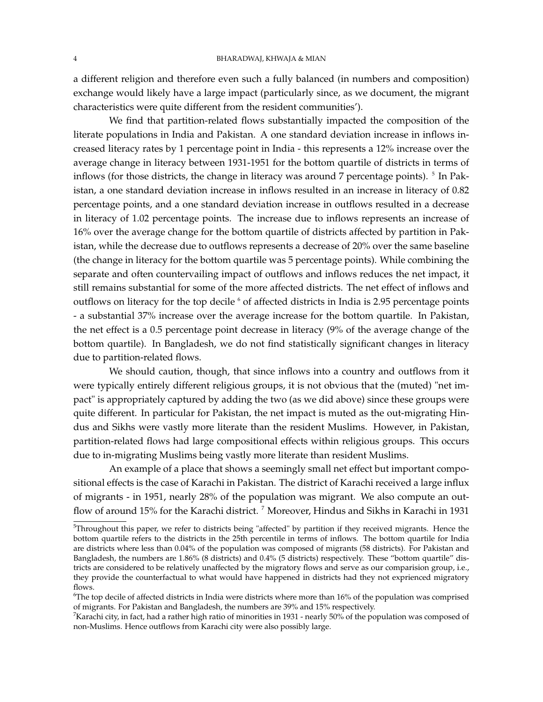a different religion and therefore even such a fully balanced (in numbers and composition) exchange would likely have a large impact (particularly since, as we document, the migrant characteristics were quite different from the resident communities').

We find that partition-related flows substantially impacted the composition of the literate populations in India and Pakistan. A one standard deviation increase in inflows increased literacy rates by 1 percentage point in India - this represents a 12% increase over the average change in literacy between 1931-1951 for the bottom quartile of districts in terms of inflows (for those districts, the change in literacy was around 7 percentage points). <sup>5</sup> In Pakistan, a one standard deviation increase in inflows resulted in an increase in literacy of 0.82 percentage points, and a one standard deviation increase in outflows resulted in a decrease in literacy of 1.02 percentage points. The increase due to inflows represents an increase of 16% over the average change for the bottom quartile of districts affected by partition in Pakistan, while the decrease due to outflows represents a decrease of 20% over the same baseline (the change in literacy for the bottom quartile was 5 percentage points). While combining the separate and often countervailing impact of outflows and inflows reduces the net impact, it still remains substantial for some of the more affected districts. The net effect of inflows and outflows on literacy for the top decile  $6$  of affected districts in India is 2.95 percentage points - a substantial 37% increase over the average increase for the bottom quartile. In Pakistan, the net effect is a 0.5 percentage point decrease in literacy (9% of the average change of the bottom quartile). In Bangladesh, we do not find statistically significant changes in literacy due to partition-related flows.

We should caution, though, that since inflows into a country and outflows from it were typically entirely different religious groups, it is not obvious that the (muted) "net impact" is appropriately captured by adding the two (as we did above) since these groups were quite different. In particular for Pakistan, the net impact is muted as the out-migrating Hindus and Sikhs were vastly more literate than the resident Muslims. However, in Pakistan, partition-related flows had large compositional effects within religious groups. This occurs due to in-migrating Muslims being vastly more literate than resident Muslims.

An example of a place that shows a seemingly small net effect but important compositional effects is the case of Karachi in Pakistan. The district of Karachi received a large influx of migrants - in 1951, nearly 28% of the population was migrant. We also compute an outflow of around 15% for the Karachi district.<sup>7</sup> Moreover, Hindus and Sikhs in Karachi in 1931

<sup>&</sup>lt;sup>5</sup>Throughout this paper, we refer to districts being "affected" by partition if they received migrants. Hence the bottom quartile refers to the districts in the 25th percentile in terms of inflows. The bottom quartile for India are districts where less than 0.04% of the population was composed of migrants (58 districts). For Pakistan and Bangladesh, the numbers are 1.86% (8 districts) and 0.4% (5 districts) respectively. These "bottom quartile" districts are considered to be relatively unaffected by the migratory flows and serve as our comparision group, i.e., they provide the counterfactual to what would have happened in districts had they not exprienced migratory flows.

<sup>6</sup>The top decile of affected districts in India were districts where more than 16% of the population was comprised of migrants. For Pakistan and Bangladesh, the numbers are 39% and 15% respectively.

<sup>&</sup>lt;sup>7</sup>Karachi city, in fact, had a rather high ratio of minorities in 1931 - nearly 50% of the population was composed of non-Muslims. Hence outflows from Karachi city were also possibly large.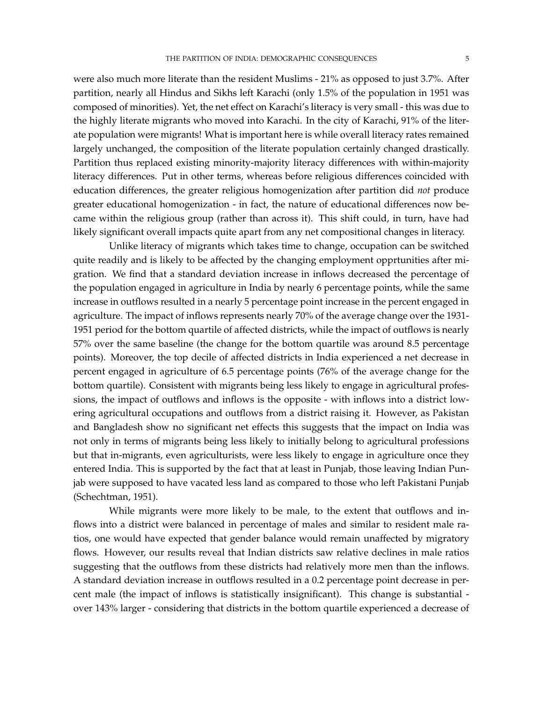were also much more literate than the resident Muslims - 21% as opposed to just 3.7%. After partition, nearly all Hindus and Sikhs left Karachi (only 1.5% of the population in 1951 was composed of minorities). Yet, the net effect on Karachi's literacy is very small - this was due to the highly literate migrants who moved into Karachi. In the city of Karachi, 91% of the literate population were migrants! What is important here is while overall literacy rates remained largely unchanged, the composition of the literate population certainly changed drastically. Partition thus replaced existing minority-majority literacy differences with within-majority literacy differences. Put in other terms, whereas before religious differences coincided with education differences, the greater religious homogenization after partition did *not* produce greater educational homogenization - in fact, the nature of educational differences now became within the religious group (rather than across it). This shift could, in turn, have had likely significant overall impacts quite apart from any net compositional changes in literacy.

Unlike literacy of migrants which takes time to change, occupation can be switched quite readily and is likely to be affected by the changing employment opprtunities after migration. We find that a standard deviation increase in inflows decreased the percentage of the population engaged in agriculture in India by nearly 6 percentage points, while the same increase in outflows resulted in a nearly 5 percentage point increase in the percent engaged in agriculture. The impact of inflows represents nearly 70% of the average change over the 1931- 1951 period for the bottom quartile of affected districts, while the impact of outflows is nearly 57% over the same baseline (the change for the bottom quartile was around 8.5 percentage points). Moreover, the top decile of affected districts in India experienced a net decrease in percent engaged in agriculture of 6.5 percentage points (76% of the average change for the bottom quartile). Consistent with migrants being less likely to engage in agricultural professions, the impact of outflows and inflows is the opposite - with inflows into a district lowering agricultural occupations and outflows from a district raising it. However, as Pakistan and Bangladesh show no significant net effects this suggests that the impact on India was not only in terms of migrants being less likely to initially belong to agricultural professions but that in-migrants, even agriculturists, were less likely to engage in agriculture once they entered India. This is supported by the fact that at least in Punjab, those leaving Indian Punjab were supposed to have vacated less land as compared to those who left Pakistani Punjab (Schechtman, 1951).

While migrants were more likely to be male, to the extent that outflows and inflows into a district were balanced in percentage of males and similar to resident male ratios, one would have expected that gender balance would remain unaffected by migratory flows. However, our results reveal that Indian districts saw relative declines in male ratios suggesting that the outflows from these districts had relatively more men than the inflows. A standard deviation increase in outflows resulted in a 0.2 percentage point decrease in percent male (the impact of inflows is statistically insignificant). This change is substantial over 143% larger - considering that districts in the bottom quartile experienced a decrease of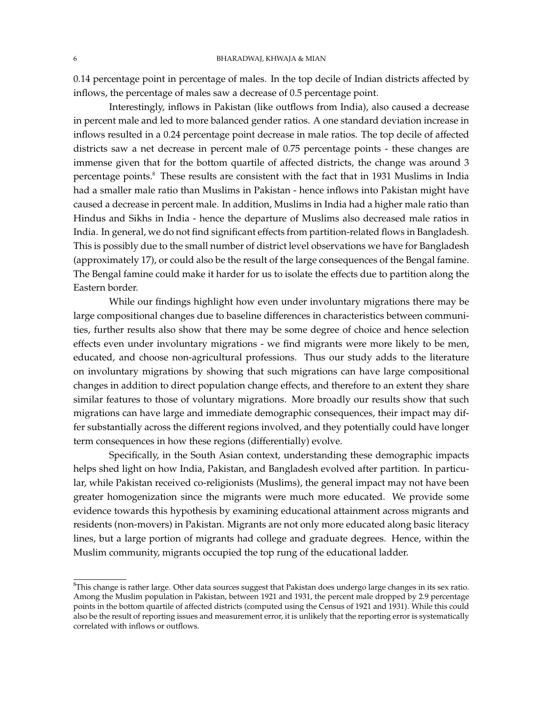0.14 percentage point in percentage of males. In the top decile of Indian districts affected by inflows, the percentage of males saw a decrease of 0.5 percentage point.

Interestingly, inflows in Pakistan (like outflows from India), also caused a decrease in percent male and led to more balanced gender ratios. A one standard deviation increase in inflows resulted in a 0.24 percentage point decrease in male ratios. The top decile of affected districts saw a net decrease in percent male of 0.75 percentage points - these changes are immense given that for the bottom quartile of affected districts, the change was around 3 percentage points.<sup>8</sup> These results are consistent with the fact that in 1931 Muslims in India had a smaller male ratio than Muslims in Pakistan - hence inflows into Pakistan might have caused a decrease in percent male. In addition, Muslims in India had a higher male ratio than Hindus and Sikhs in India - hence the departure of Muslims also decreased male ratios in India. In general, we do not find significant effects from partition-related flows in Bangladesh. This is possibly due to the small number of district level observations we have for Bangladesh (approximately 17), or could also be the result of the large consequences of the Bengal famine. The Bengal famine could make it harder for us to isolate the effects due to partition along the Eastern border.

While our findings highlight how even under involuntary migrations there may be large compositional changes due to baseline differences in characteristics between communities, further results also show that there may be some degree of choice and hence selection effects even under involuntary migrations - we find migrants were more likely to be men, educated, and choose non-agricultural professions. Thus our study adds to the literature on involuntary migrations by showing that such migrations can have large compositional changes in addition to direct population change effects, and therefore to an extent they share similar features to those of voluntary migrations. More broadly our results show that such migrations can have large and immediate demographic consequences, their impact may differ substantially across the different regions involved, and they potentially could have longer term consequences in how these regions (differentially) evolve.

Specifically, in the South Asian context, understanding these demographic impacts helps shed light on how India, Pakistan, and Bangladesh evolved after partition. In particular, while Pakistan received co-religionists (Muslims), the general impact may not have been greater homogenization since the migrants were much more educated. We provide some evidence towards this hypothesis by examining educational attainment across migrants and residents (non-movers) in Pakistan. Migrants are not only more educated along basic literacy lines, but a large portion of migrants had college and graduate degrees. Hence, within the Muslim community, migrants occupied the top rung of the educational ladder.

<sup>&</sup>lt;sup>8</sup>This change is rather large. Other data sources suggest that Pakistan does undergo large changes in its sex ratio. Among the Muslim population in Pakistan, between 1921 and 1931, the percent male dropped by 2.9 percentage points in the bottom quartile of affected districts (computed using the Census of 1921 and 1931). While this could also be the result of reporting issues and measurement error, it is unlikely that the reporting error is systematically correlated with inflows or outflows.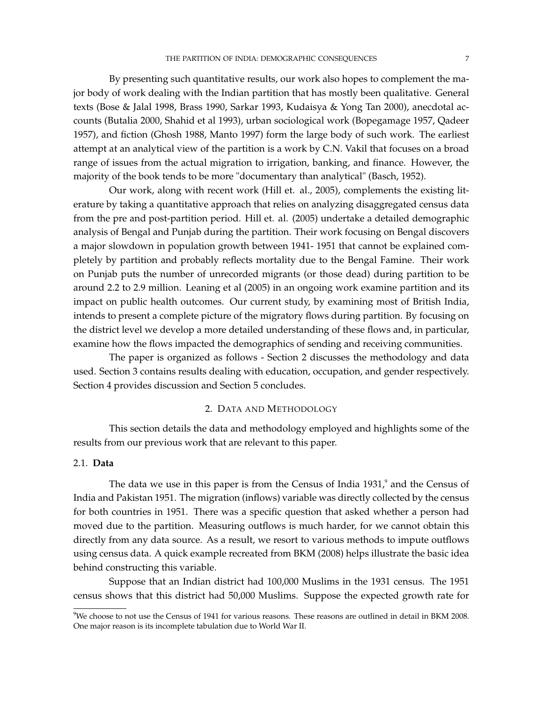By presenting such quantitative results, our work also hopes to complement the major body of work dealing with the Indian partition that has mostly been qualitative. General texts (Bose & Jalal 1998, Brass 1990, Sarkar 1993, Kudaisya & Yong Tan 2000), anecdotal accounts (Butalia 2000, Shahid et al 1993), urban sociological work (Bopegamage 1957, Qadeer 1957), and fiction (Ghosh 1988, Manto 1997) form the large body of such work. The earliest attempt at an analytical view of the partition is a work by C.N. Vakil that focuses on a broad range of issues from the actual migration to irrigation, banking, and finance. However, the majority of the book tends to be more "documentary than analytical" (Basch, 1952).

Our work, along with recent work (Hill et. al., 2005), complements the existing literature by taking a quantitative approach that relies on analyzing disaggregated census data from the pre and post-partition period. Hill et. al. (2005) undertake a detailed demographic analysis of Bengal and Punjab during the partition. Their work focusing on Bengal discovers a major slowdown in population growth between 1941- 1951 that cannot be explained completely by partition and probably reflects mortality due to the Bengal Famine. Their work on Punjab puts the number of unrecorded migrants (or those dead) during partition to be around 2.2 to 2.9 million. Leaning et al (2005) in an ongoing work examine partition and its impact on public health outcomes. Our current study, by examining most of British India, intends to present a complete picture of the migratory flows during partition. By focusing on the district level we develop a more detailed understanding of these flows and, in particular, examine how the flows impacted the demographics of sending and receiving communities.

The paper is organized as follows - Section 2 discusses the methodology and data used. Section 3 contains results dealing with education, occupation, and gender respectively. Section 4 provides discussion and Section 5 concludes.

### 2. DATA AND METHODOLOGY

This section details the data and methodology employed and highlights some of the results from our previous work that are relevant to this paper.

# 2.1. **Data**

The data we use in this paper is from the Census of India 1931, $^{\circ}$  and the Census of India and Pakistan 1951. The migration (inflows) variable was directly collected by the census for both countries in 1951. There was a specific question that asked whether a person had moved due to the partition. Measuring outflows is much harder, for we cannot obtain this directly from any data source. As a result, we resort to various methods to impute outflows using census data. A quick example recreated from BKM (2008) helps illustrate the basic idea behind constructing this variable.

Suppose that an Indian district had 100,000 Muslims in the 1931 census. The 1951 census shows that this district had 50,000 Muslims. Suppose the expected growth rate for

<sup>9</sup>We choose to not use the Census of 1941 for various reasons. These reasons are outlined in detail in BKM 2008. One major reason is its incomplete tabulation due to World War II.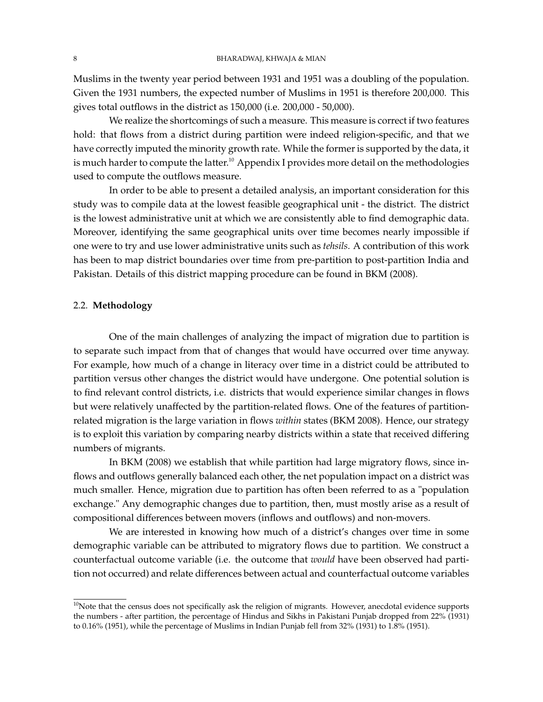Muslims in the twenty year period between 1931 and 1951 was a doubling of the population. Given the 1931 numbers, the expected number of Muslims in 1951 is therefore 200,000. This gives total outflows in the district as 150,000 (i.e. 200,000 - 50,000).

We realize the shortcomings of such a measure. This measure is correct if two features hold: that flows from a district during partition were indeed religion-specific, and that we have correctly imputed the minority growth rate. While the former is supported by the data, it is much harder to compute the latter.<sup>10</sup> Appendix I provides more detail on the methodologies used to compute the outflows measure.

In order to be able to present a detailed analysis, an important consideration for this study was to compile data at the lowest feasible geographical unit - the district. The district is the lowest administrative unit at which we are consistently able to find demographic data. Moreover, identifying the same geographical units over time becomes nearly impossible if one were to try and use lower administrative units such as *tehsils*. A contribution of this work has been to map district boundaries over time from pre-partition to post-partition India and Pakistan. Details of this district mapping procedure can be found in BKM (2008).

# 2.2. **Methodology**

One of the main challenges of analyzing the impact of migration due to partition is to separate such impact from that of changes that would have occurred over time anyway. For example, how much of a change in literacy over time in a district could be attributed to partition versus other changes the district would have undergone. One potential solution is to find relevant control districts, i.e. districts that would experience similar changes in flows but were relatively unaffected by the partition-related flows. One of the features of partitionrelated migration is the large variation in flows *within* states (BKM 2008). Hence, our strategy is to exploit this variation by comparing nearby districts within a state that received differing numbers of migrants.

In BKM (2008) we establish that while partition had large migratory flows, since inflows and outflows generally balanced each other, the net population impact on a district was much smaller. Hence, migration due to partition has often been referred to as a "population exchange." Any demographic changes due to partition, then, must mostly arise as a result of compositional differences between movers (inflows and outflows) and non-movers.

We are interested in knowing how much of a district's changes over time in some demographic variable can be attributed to migratory flows due to partition. We construct a counterfactual outcome variable (i.e. the outcome that *would* have been observed had partition not occurred) and relate differences between actual and counterfactual outcome variables

 $10$ Note that the census does not specifically ask the religion of migrants. However, anecdotal evidence supports the numbers - after partition, the percentage of Hindus and Sikhs in Pakistani Punjab dropped from 22% (1931) to 0.16% (1951), while the percentage of Muslims in Indian Punjab fell from 32% (1931) to 1.8% (1951).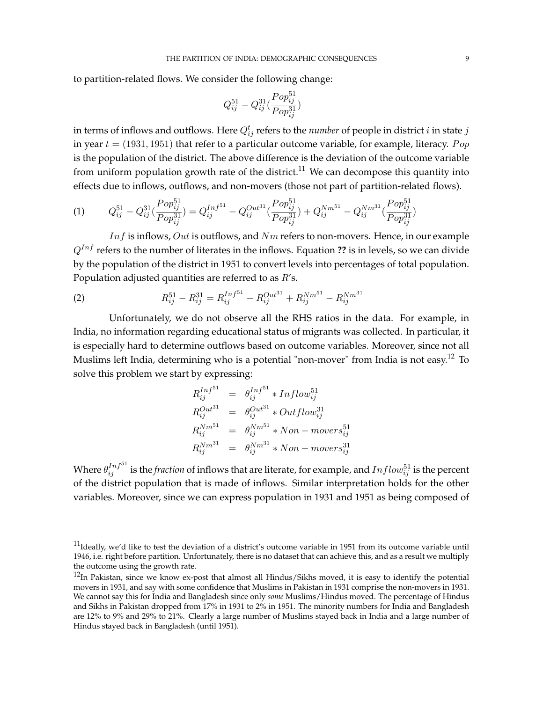to partition-related flows. We consider the following change:

$$
Q^{51}_{ij} - Q^{31}_{ij} (\frac{Pop^{51}_{ij}}{Pop^{31}_{ij}})
$$

in terms of inflows and outflows. Here  $Q_{ij}^t$  refers to the *number* of people in district  $i$  in state  $j$ in year  $t = (1931, 1951)$  that refer to a particular outcome variable, for example, literacy. Pop is the population of the district. The above difference is the deviation of the outcome variable from uniform population growth rate of the district.<sup>11</sup> We can decompose this quantity into effects due to inflows, outflows, and non-movers (those not part of partition-related flows).

$$
(1) \tQ_{ij}^{51} - Q_{ij}^{31}(\frac{Pop_{ij}^{51}}{Pop_{ij}^{31}}) = Q_{ij}^{Inf^{51}} - Q_{ij}^{Out^{31}}(\frac{Pop_{ij}^{51}}{Pop_{ij}^{31}}) + Q_{ij}^{Nm^{51}} - Q_{ij}^{Nm^{31}}(\frac{Pop_{ij}^{51}}{Pop_{ij}^{31}})
$$

In f is inflows, Out is outflows, and  $Nm$  refers to non-movers. Hence, in our example  $Q^{Inf}$  refers to the number of literates in the inflows. Equation ?? is in levels, so we can divide by the population of the district in 1951 to convert levels into percentages of total population. Population adjusted quantities are referred to as R's.

(2) 
$$
R_{ij}^{51} - R_{ij}^{31} = R_{ij}^{Inf^{51}} - R_{ij}^{Out^{31}} + R_{ij}^{Nm^{51}} - R_{ij}^{Nm^{31}}
$$

Unfortunately, we do not observe all the RHS ratios in the data. For example, in India, no information regarding educational status of migrants was collected. In particular, it is especially hard to determine outflows based on outcome variables. Moreover, since not all Muslims left India, determining who is a potential "non-mover" from India is not easy.<sup>12</sup> To solve this problem we start by expressing:

$$
R_{ij}^{Inf^{51}} = \theta_{ij}^{Inf^{51}} * Inflow_{ij}^{51}
$$
  
\n
$$
R_{ij}^{Out^{31}} = \theta_{ij}^{Out^{31}} * Outflow_{ij}^{31}
$$
  
\n
$$
R_{ij}^{Nm^{51}} = \theta_{ij}^{Nm^{51}} * Non-movers_{ij}^{51}
$$
  
\n
$$
R_{ij}^{Nm^{31}} = \theta_{ij}^{Nm^{31}} * Non-movers_{ij}^{31}
$$

Where  $\theta_{ij}^{Inf^{51}}$  is the *fraction* of inflows that are literate, for example, and  $Inflow_{ij}^{51}$  is the percent of the district population that is made of inflows. Similar interpretation holds for the other variables. Moreover, since we can express population in 1931 and 1951 as being composed of

 $11$ Ideally, we'd like to test the deviation of a district's outcome variable in 1951 from its outcome variable until 1946, i.e. right before partition. Unfortunately, there is no dataset that can achieve this, and as a result we multiply the outcome using the growth rate.

 $12$ In Pakistan, since we know ex-post that almost all Hindus/Sikhs moved, it is easy to identify the potential movers in 1931, and say with some confidence that Muslims in Pakistan in 1931 comprise the non-movers in 1931. We cannot say this for India and Bangladesh since only *some* Muslims/Hindus moved. The percentage of Hindus and Sikhs in Pakistan dropped from 17% in 1931 to 2% in 1951. The minority numbers for India and Bangladesh are 12% to 9% and 29% to 21%. Clearly a large number of Muslims stayed back in India and a large number of Hindus stayed back in Bangladesh (until 1951).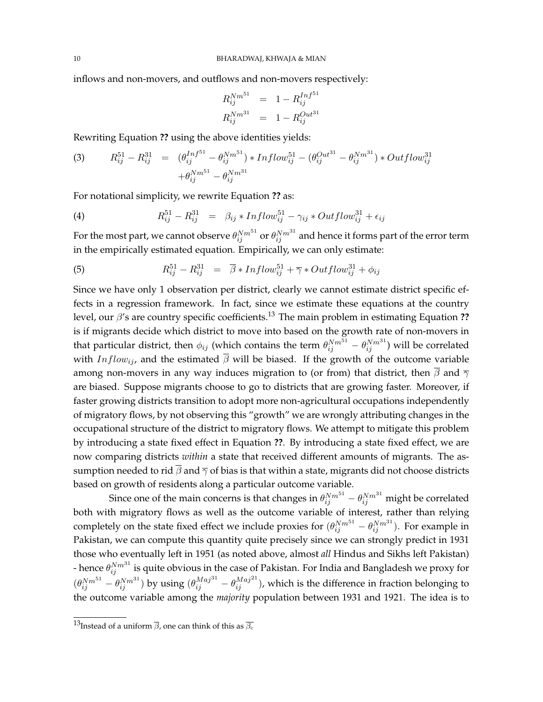inflows and non-movers, and outflows and non-movers respectively:

$$
\begin{array}{rcl} R_{ij}^{Nm^{51}} & = & 1-R_{ij}^{Inf^{51}} \\ R_{ij}^{Nm^{31}} & = & 1-R_{ij}^{Out^{31}} \end{array}
$$

Rewriting Equation **??** using the above identities yields:

(3) 
$$
R_{ij}^{51} - R_{ij}^{31} = (\theta_{ij}^{Inf^{51}} - \theta_{ij}^{Nm^{51}}) * Inflow_{ij}^{51} - (\theta_{ij}^{Out^{31}} - \theta_{ij}^{Nm^{31}}) * Outflow_{ij}^{31} + \theta_{ij}^{Nm^{51}} - \theta_{ij}^{Nm^{31}}
$$

For notational simplicity, we rewrite Equation **??** as:

(4) 
$$
R_{ij}^{51} - R_{ij}^{31} = \beta_{ij} * Inflow_{ij}^{51} - \gamma_{ij} * Outflow_{ij}^{31} + \epsilon_{ij}
$$

For the most part, we cannot observe  $\theta_{ij}^{Nm^{51}}$  or  $\theta_{ij}^{Nm^{31}}$  and hence it forms part of the error term in the empirically estimated equation. Empirically, we can only estimate:

(5) 
$$
R_{ij}^{51} - R_{ij}^{31} = \overline{\beta} * Inflow_{ij}^{51} + \overline{\gamma} * Outflow_{ij}^{31} + \phi_{ij}
$$

Since we have only 1 observation per district, clearly we cannot estimate district specific effects in a regression framework. In fact, since we estimate these equations at the country level, our β's are country specific coefficients.<sup>13</sup> The main problem in estimating Equation **??** is if migrants decide which district to move into based on the growth rate of non-movers in that particular district, then  $\phi_{ij}$  (which contains the term  $\theta_{ij}^{Nm^{51}}-\theta_{ij}^{Nm^{31}}$ ) will be correlated with  $Inflow_{ij}$ , and the estimated  $\overline{\beta}$  will be biased. If the growth of the outcome variable among non-movers in any way induces migration to (or from) that district, then  $\overline{\beta}$  and  $\overline{\gamma}$ are biased. Suppose migrants choose to go to districts that are growing faster. Moreover, if faster growing districts transition to adopt more non-agricultural occupations independently of migratory flows, by not observing this "growth" we are wrongly attributing changes in the occupational structure of the district to migratory flows. We attempt to mitigate this problem by introducing a state fixed effect in Equation **??**. By introducing a state fixed effect, we are now comparing districts *within* a state that received different amounts of migrants. The assumption needed to rid  $\overline{\beta}$  and  $\overline{\gamma}$  of bias is that within a state, migrants did not choose districts based on growth of residents along a particular outcome variable.

Since one of the main concerns is that changes in  $\theta_{ij}^{Nm^{51}}-\theta_{ij}^{Nm^{31}}$  might be correlated both with migratory flows as well as the outcome variable of interest, rather than relying completely on the state fixed effect we include proxies for  $(\theta_{ij}^{Nm^{51}} - \theta_{ij}^{Nm^{31}})$ . For example in Pakistan, we can compute this quantity quite precisely since we can strongly predict in 1931 those who eventually left in 1951 (as noted above, almost *all* Hindus and Sikhs left Pakistan) - hence  $\theta_{ij}^{Nm^{31}}$  is quite obvious in the case of Pakistan. For India and Bangladesh we proxy for  $(\theta_{ij}^{Nm^{51}}-\theta_{ij}^{Nm^{31}})$  by using  $(\theta_{ij}^{Maj^{31}}-\theta_{ij}^{Maj^{21}})$ , which is the difference in fraction belonging to the outcome variable among the *majority* population between 1931 and 1921. The idea is to

<sup>&</sup>lt;sup>13</sup>Instead of a uniform  $\overline{\beta}$ , one can think of this as  $\overline{\beta_c}$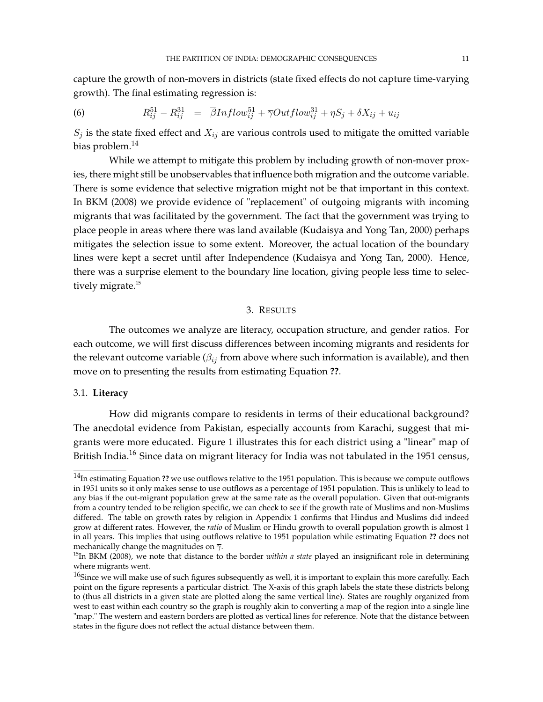capture the growth of non-movers in districts (state fixed effects do not capture time-varying growth). The final estimating regression is:

(6) 
$$
R_{ij}^{51} - R_{ij}^{31} = \overline{\beta} Inflow_{ij}^{51} + \overline{\gamma}Outflow_{ij}^{31} + \eta S_j + \delta X_{ij} + u_{ij}
$$

 $S_i$  is the state fixed effect and  $X_{ij}$  are various controls used to mitigate the omitted variable bias problem.<sup>14</sup>

While we attempt to mitigate this problem by including growth of non-mover proxies, there might still be unobservables that influence both migration and the outcome variable. There is some evidence that selective migration might not be that important in this context. In BKM (2008) we provide evidence of "replacement" of outgoing migrants with incoming migrants that was facilitated by the government. The fact that the government was trying to place people in areas where there was land available (Kudaisya and Yong Tan, 2000) perhaps mitigates the selection issue to some extent. Moreover, the actual location of the boundary lines were kept a secret until after Independence (Kudaisya and Yong Tan, 2000). Hence, there was a surprise element to the boundary line location, giving people less time to selectively migrate.<sup>15</sup>

#### 3. RESULTS

The outcomes we analyze are literacy, occupation structure, and gender ratios. For each outcome, we will first discuss differences between incoming migrants and residents for the relevant outcome variable ( $\beta_{ij}$  from above where such information is available), and then move on to presenting the results from estimating Equation **??**.

#### 3.1. **Literacy**

How did migrants compare to residents in terms of their educational background? The anecdotal evidence from Pakistan, especially accounts from Karachi, suggest that migrants were more educated. Figure 1 illustrates this for each district using a "linear" map of British India.<sup>16</sup> Since data on migrant literacy for India was not tabulated in the 1951 census,

<sup>14</sup>In estimating Equation **??** we use outflows relative to the 1951 population. This is because we compute outflows in 1951 units so it only makes sense to use outflows as a percentage of 1951 population. This is unlikely to lead to any bias if the out-migrant population grew at the same rate as the overall population. Given that out-migrants from a country tended to be religion specific, we can check to see if the growth rate of Muslims and non-Muslims differed. The table on growth rates by religion in Appendix 1 confirms that Hindus and Muslims did indeed grow at different rates. However, the *ratio* of Muslim or Hindu growth to overall population growth is almost 1 in all years. This implies that using outflows relative to 1951 population while estimating Equation **??** does not mechanically change the magnitudes on  $\overline{\gamma}$ .

<sup>&</sup>lt;sup>15</sup>In BKM (2008), we note that distance to the border *within a state* played an insignificant role in determining where migrants went.

 $^{16}$ Since we will make use of such figures subsequently as well, it is important to explain this more carefully. Each point on the figure represents a particular district. The X-axis of this graph labels the state these districts belong to (thus all districts in a given state are plotted along the same vertical line). States are roughly organized from west to east within each country so the graph is roughly akin to converting a map of the region into a single line "map." The western and eastern borders are plotted as vertical lines for reference. Note that the distance between states in the figure does not reflect the actual distance between them.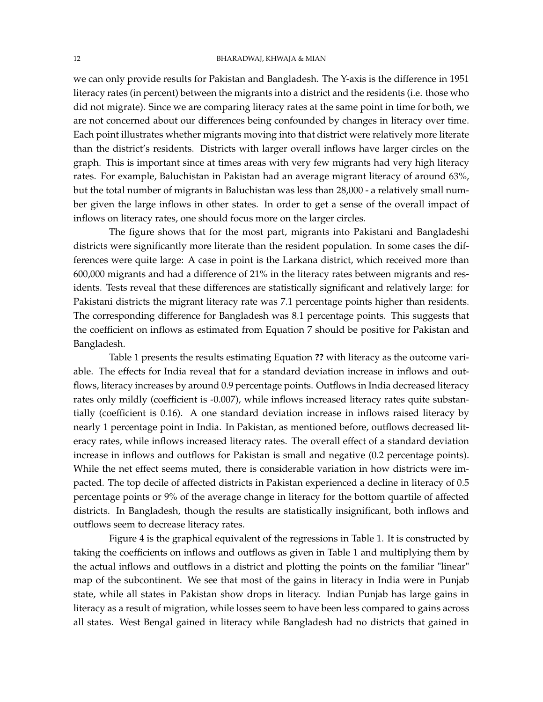#### 12 BHARADWAJ, KHWAJA & MIAN

we can only provide results for Pakistan and Bangladesh. The Y-axis is the difference in 1951 literacy rates (in percent) between the migrants into a district and the residents (i.e. those who did not migrate). Since we are comparing literacy rates at the same point in time for both, we are not concerned about our differences being confounded by changes in literacy over time. Each point illustrates whether migrants moving into that district were relatively more literate than the district's residents. Districts with larger overall inflows have larger circles on the graph. This is important since at times areas with very few migrants had very high literacy rates. For example, Baluchistan in Pakistan had an average migrant literacy of around 63%, but the total number of migrants in Baluchistan was less than 28,000 - a relatively small number given the large inflows in other states. In order to get a sense of the overall impact of inflows on literacy rates, one should focus more on the larger circles.

The figure shows that for the most part, migrants into Pakistani and Bangladeshi districts were significantly more literate than the resident population. In some cases the differences were quite large: A case in point is the Larkana district, which received more than 600,000 migrants and had a difference of 21% in the literacy rates between migrants and residents. Tests reveal that these differences are statistically significant and relatively large: for Pakistani districts the migrant literacy rate was 7.1 percentage points higher than residents. The corresponding difference for Bangladesh was 8.1 percentage points. This suggests that the coefficient on inflows as estimated from Equation 7 should be positive for Pakistan and Bangladesh.

Table 1 presents the results estimating Equation **??** with literacy as the outcome variable. The effects for India reveal that for a standard deviation increase in inflows and outflows, literacy increases by around 0.9 percentage points. Outflows in India decreased literacy rates only mildly (coefficient is -0.007), while inflows increased literacy rates quite substantially (coefficient is 0.16). A one standard deviation increase in inflows raised literacy by nearly 1 percentage point in India. In Pakistan, as mentioned before, outflows decreased literacy rates, while inflows increased literacy rates. The overall effect of a standard deviation increase in inflows and outflows for Pakistan is small and negative (0.2 percentage points). While the net effect seems muted, there is considerable variation in how districts were impacted. The top decile of affected districts in Pakistan experienced a decline in literacy of 0.5 percentage points or 9% of the average change in literacy for the bottom quartile of affected districts. In Bangladesh, though the results are statistically insignificant, both inflows and outflows seem to decrease literacy rates.

Figure 4 is the graphical equivalent of the regressions in Table 1. It is constructed by taking the coefficients on inflows and outflows as given in Table 1 and multiplying them by the actual inflows and outflows in a district and plotting the points on the familiar "linear" map of the subcontinent. We see that most of the gains in literacy in India were in Punjab state, while all states in Pakistan show drops in literacy. Indian Punjab has large gains in literacy as a result of migration, while losses seem to have been less compared to gains across all states. West Bengal gained in literacy while Bangladesh had no districts that gained in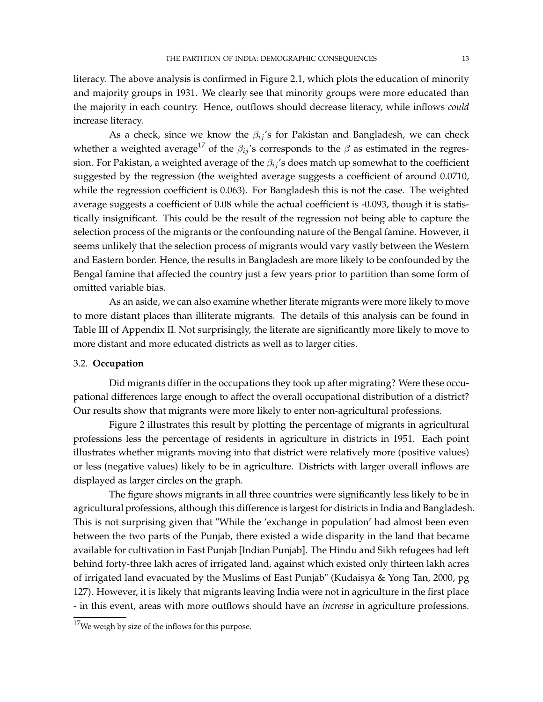literacy. The above analysis is confirmed in Figure 2.1, which plots the education of minority and majority groups in 1931. We clearly see that minority groups were more educated than the majority in each country. Hence, outflows should decrease literacy, while inflows *could* increase literacy.

As a check, since we know the  $\beta_{ij}$ 's for Pakistan and Bangladesh, we can check whether a weighted average<sup>17</sup> of the  $\beta_{ij}$ 's corresponds to the  $\beta$  as estimated in the regression. For Pakistan, a weighted average of the  $\beta_{ij}$ 's does match up somewhat to the coefficient suggested by the regression (the weighted average suggests a coefficient of around 0.0710, while the regression coefficient is 0.063). For Bangladesh this is not the case. The weighted average suggests a coefficient of 0.08 while the actual coefficient is -0.093, though it is statistically insignificant. This could be the result of the regression not being able to capture the selection process of the migrants or the confounding nature of the Bengal famine. However, it seems unlikely that the selection process of migrants would vary vastly between the Western and Eastern border. Hence, the results in Bangladesh are more likely to be confounded by the Bengal famine that affected the country just a few years prior to partition than some form of omitted variable bias.

As an aside, we can also examine whether literate migrants were more likely to move to more distant places than illiterate migrants. The details of this analysis can be found in Table III of Appendix II. Not surprisingly, the literate are significantly more likely to move to more distant and more educated districts as well as to larger cities.

### 3.2. **Occupation**

Did migrants differ in the occupations they took up after migrating? Were these occupational differences large enough to affect the overall occupational distribution of a district? Our results show that migrants were more likely to enter non-agricultural professions.

Figure 2 illustrates this result by plotting the percentage of migrants in agricultural professions less the percentage of residents in agriculture in districts in 1951. Each point illustrates whether migrants moving into that district were relatively more (positive values) or less (negative values) likely to be in agriculture. Districts with larger overall inflows are displayed as larger circles on the graph.

The figure shows migrants in all three countries were significantly less likely to be in agricultural professions, although this difference is largest for districts in India and Bangladesh. This is not surprising given that "While the 'exchange in population' had almost been even between the two parts of the Punjab, there existed a wide disparity in the land that became available for cultivation in East Punjab [Indian Punjab]. The Hindu and Sikh refugees had left behind forty-three lakh acres of irrigated land, against which existed only thirteen lakh acres of irrigated land evacuated by the Muslims of East Punjab" (Kudaisya & Yong Tan, 2000, pg 127). However, it is likely that migrants leaving India were not in agriculture in the first place - in this event, areas with more outflows should have an *increase* in agriculture professions.

<sup>&</sup>lt;sup>17</sup>We weigh by size of the inflows for this purpose.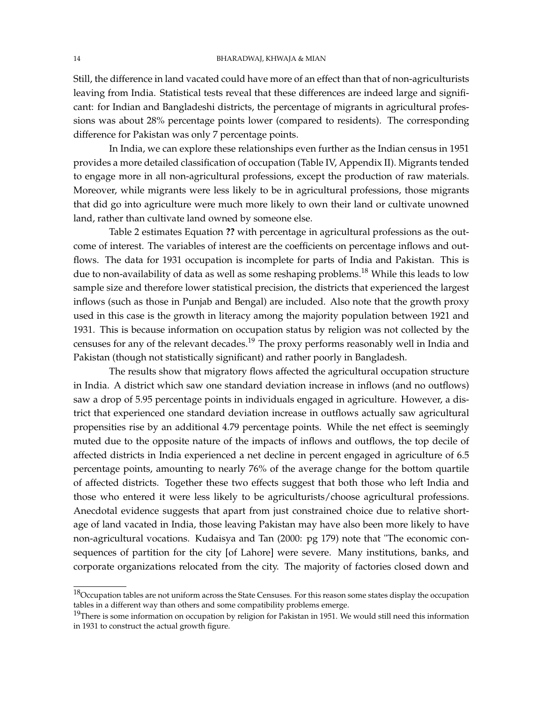Still, the difference in land vacated could have more of an effect than that of non-agriculturists leaving from India. Statistical tests reveal that these differences are indeed large and significant: for Indian and Bangladeshi districts, the percentage of migrants in agricultural professions was about 28% percentage points lower (compared to residents). The corresponding difference for Pakistan was only 7 percentage points.

In India, we can explore these relationships even further as the Indian census in 1951 provides a more detailed classification of occupation (Table IV, Appendix II). Migrants tended to engage more in all non-agricultural professions, except the production of raw materials. Moreover, while migrants were less likely to be in agricultural professions, those migrants that did go into agriculture were much more likely to own their land or cultivate unowned land, rather than cultivate land owned by someone else.

Table 2 estimates Equation **??** with percentage in agricultural professions as the outcome of interest. The variables of interest are the coefficients on percentage inflows and outflows. The data for 1931 occupation is incomplete for parts of India and Pakistan. This is due to non-availability of data as well as some reshaping problems.<sup>18</sup> While this leads to low sample size and therefore lower statistical precision, the districts that experienced the largest inflows (such as those in Punjab and Bengal) are included. Also note that the growth proxy used in this case is the growth in literacy among the majority population between 1921 and 1931. This is because information on occupation status by religion was not collected by the censuses for any of the relevant decades.<sup>19</sup> The proxy performs reasonably well in India and Pakistan (though not statistically significant) and rather poorly in Bangladesh.

The results show that migratory flows affected the agricultural occupation structure in India. A district which saw one standard deviation increase in inflows (and no outflows) saw a drop of 5.95 percentage points in individuals engaged in agriculture. However, a district that experienced one standard deviation increase in outflows actually saw agricultural propensities rise by an additional 4.79 percentage points. While the net effect is seemingly muted due to the opposite nature of the impacts of inflows and outflows, the top decile of affected districts in India experienced a net decline in percent engaged in agriculture of 6.5 percentage points, amounting to nearly 76% of the average change for the bottom quartile of affected districts. Together these two effects suggest that both those who left India and those who entered it were less likely to be agriculturists/choose agricultural professions. Anecdotal evidence suggests that apart from just constrained choice due to relative shortage of land vacated in India, those leaving Pakistan may have also been more likely to have non-agricultural vocations. Kudaisya and Tan (2000: pg 179) note that "The economic consequences of partition for the city [of Lahore] were severe. Many institutions, banks, and corporate organizations relocated from the city. The majority of factories closed down and

 $18$ Occupation tables are not uniform across the State Censuses. For this reason some states display the occupation tables in a different way than others and some compatibility problems emerge.

<sup>&</sup>lt;sup>19</sup>There is some information on occupation by religion for Pakistan in 1951. We would still need this information in 1931 to construct the actual growth figure.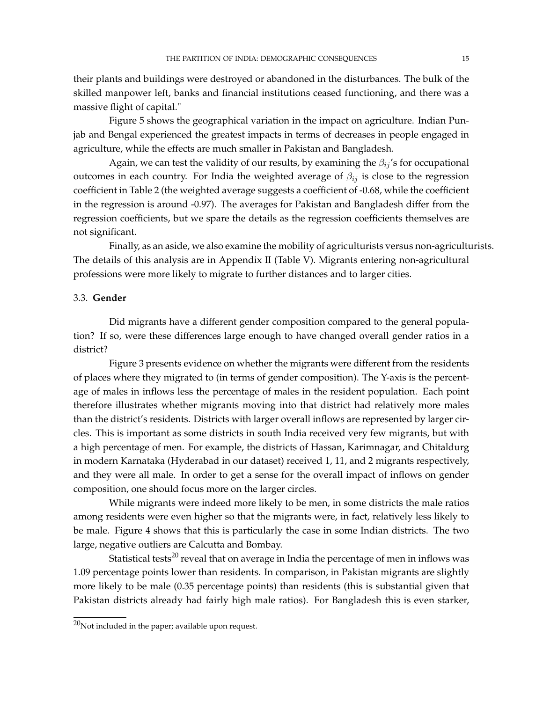their plants and buildings were destroyed or abandoned in the disturbances. The bulk of the skilled manpower left, banks and financial institutions ceased functioning, and there was a massive flight of capital."

Figure 5 shows the geographical variation in the impact on agriculture. Indian Punjab and Bengal experienced the greatest impacts in terms of decreases in people engaged in agriculture, while the effects are much smaller in Pakistan and Bangladesh.

Again, we can test the validity of our results, by examining the  $\beta_{ij}$ 's for occupational outcomes in each country. For India the weighted average of  $\beta_{ij}$  is close to the regression coefficient in Table 2 (the weighted average suggests a coefficient of -0.68, while the coefficient in the regression is around -0.97). The averages for Pakistan and Bangladesh differ from the regression coefficients, but we spare the details as the regression coefficients themselves are not significant.

Finally, as an aside, we also examine the mobility of agriculturists versus non-agriculturists. The details of this analysis are in Appendix II (Table V). Migrants entering non-agricultural professions were more likely to migrate to further distances and to larger cities.

# 3.3. **Gender**

Did migrants have a different gender composition compared to the general population? If so, were these differences large enough to have changed overall gender ratios in a district?

Figure 3 presents evidence on whether the migrants were different from the residents of places where they migrated to (in terms of gender composition). The Y-axis is the percentage of males in inflows less the percentage of males in the resident population. Each point therefore illustrates whether migrants moving into that district had relatively more males than the district's residents. Districts with larger overall inflows are represented by larger circles. This is important as some districts in south India received very few migrants, but with a high percentage of men. For example, the districts of Hassan, Karimnagar, and Chitaldurg in modern Karnataka (Hyderabad in our dataset) received 1, 11, and 2 migrants respectively, and they were all male. In order to get a sense for the overall impact of inflows on gender composition, one should focus more on the larger circles.

While migrants were indeed more likely to be men, in some districts the male ratios among residents were even higher so that the migrants were, in fact, relatively less likely to be male. Figure 4 shows that this is particularly the case in some Indian districts. The two large, negative outliers are Calcutta and Bombay.

Statistical tests<sup>20</sup> reveal that on average in India the percentage of men in inflows was 1.09 percentage points lower than residents. In comparison, in Pakistan migrants are slightly more likely to be male (0.35 percentage points) than residents (this is substantial given that Pakistan districts already had fairly high male ratios). For Bangladesh this is even starker,

 $20$ Not included in the paper; available upon request.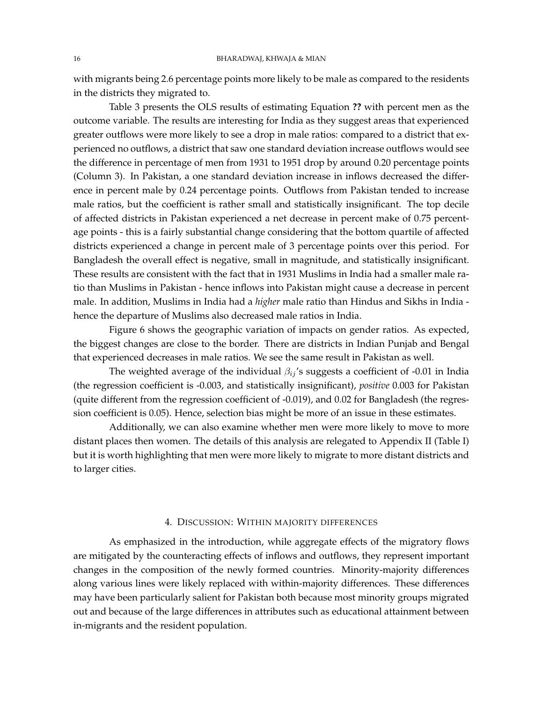with migrants being 2.6 percentage points more likely to be male as compared to the residents in the districts they migrated to.

Table 3 presents the OLS results of estimating Equation **??** with percent men as the outcome variable. The results are interesting for India as they suggest areas that experienced greater outflows were more likely to see a drop in male ratios: compared to a district that experienced no outflows, a district that saw one standard deviation increase outflows would see the difference in percentage of men from 1931 to 1951 drop by around 0.20 percentage points (Column 3). In Pakistan, a one standard deviation increase in inflows decreased the difference in percent male by 0.24 percentage points. Outflows from Pakistan tended to increase male ratios, but the coefficient is rather small and statistically insignificant. The top decile of affected districts in Pakistan experienced a net decrease in percent make of 0.75 percentage points - this is a fairly substantial change considering that the bottom quartile of affected districts experienced a change in percent male of 3 percentage points over this period. For Bangladesh the overall effect is negative, small in magnitude, and statistically insignificant. These results are consistent with the fact that in 1931 Muslims in India had a smaller male ratio than Muslims in Pakistan - hence inflows into Pakistan might cause a decrease in percent male. In addition, Muslims in India had a *higher* male ratio than Hindus and Sikhs in India hence the departure of Muslims also decreased male ratios in India.

Figure 6 shows the geographic variation of impacts on gender ratios. As expected, the biggest changes are close to the border. There are districts in Indian Punjab and Bengal that experienced decreases in male ratios. We see the same result in Pakistan as well.

The weighted average of the individual  $\beta_{ij}$ 's suggests a coefficient of -0.01 in India (the regression coefficient is -0.003, and statistically insignificant), *positive* 0.003 for Pakistan (quite different from the regression coefficient of -0.019), and 0.02 for Bangladesh (the regression coefficient is 0.05). Hence, selection bias might be more of an issue in these estimates.

Additionally, we can also examine whether men were more likely to move to more distant places then women. The details of this analysis are relegated to Appendix II (Table I) but it is worth highlighting that men were more likely to migrate to more distant districts and to larger cities.

# 4. DISCUSSION: WITHIN MAJORITY DIFFERENCES

As emphasized in the introduction, while aggregate effects of the migratory flows are mitigated by the counteracting effects of inflows and outflows, they represent important changes in the composition of the newly formed countries. Minority-majority differences along various lines were likely replaced with within-majority differences. These differences may have been particularly salient for Pakistan both because most minority groups migrated out and because of the large differences in attributes such as educational attainment between in-migrants and the resident population.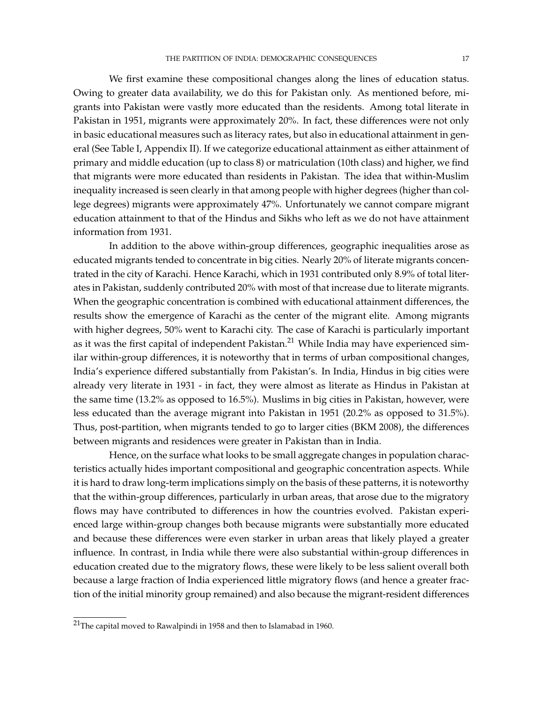We first examine these compositional changes along the lines of education status. Owing to greater data availability, we do this for Pakistan only. As mentioned before, migrants into Pakistan were vastly more educated than the residents. Among total literate in Pakistan in 1951, migrants were approximately 20%. In fact, these differences were not only in basic educational measures such as literacy rates, but also in educational attainment in general (See Table I, Appendix II). If we categorize educational attainment as either attainment of primary and middle education (up to class 8) or matriculation (10th class) and higher, we find that migrants were more educated than residents in Pakistan. The idea that within-Muslim inequality increased is seen clearly in that among people with higher degrees (higher than college degrees) migrants were approximately 47%. Unfortunately we cannot compare migrant education attainment to that of the Hindus and Sikhs who left as we do not have attainment information from 1931.

In addition to the above within-group differences, geographic inequalities arose as educated migrants tended to concentrate in big cities. Nearly 20% of literate migrants concentrated in the city of Karachi. Hence Karachi, which in 1931 contributed only 8.9% of total literates in Pakistan, suddenly contributed 20% with most of that increase due to literate migrants. When the geographic concentration is combined with educational attainment differences, the results show the emergence of Karachi as the center of the migrant elite. Among migrants with higher degrees, 50% went to Karachi city. The case of Karachi is particularly important as it was the first capital of independent Pakistan.<sup>21</sup> While India may have experienced similar within-group differences, it is noteworthy that in terms of urban compositional changes, India's experience differed substantially from Pakistan's. In India, Hindus in big cities were already very literate in 1931 - in fact, they were almost as literate as Hindus in Pakistan at the same time (13.2% as opposed to 16.5%). Muslims in big cities in Pakistan, however, were less educated than the average migrant into Pakistan in 1951 (20.2% as opposed to 31.5%). Thus, post-partition, when migrants tended to go to larger cities (BKM 2008), the differences between migrants and residences were greater in Pakistan than in India.

Hence, on the surface what looks to be small aggregate changes in population characteristics actually hides important compositional and geographic concentration aspects. While it is hard to draw long-term implications simply on the basis of these patterns, it is noteworthy that the within-group differences, particularly in urban areas, that arose due to the migratory flows may have contributed to differences in how the countries evolved. Pakistan experienced large within-group changes both because migrants were substantially more educated and because these differences were even starker in urban areas that likely played a greater influence. In contrast, in India while there were also substantial within-group differences in education created due to the migratory flows, these were likely to be less salient overall both because a large fraction of India experienced little migratory flows (and hence a greater fraction of the initial minority group remained) and also because the migrant-resident differences

 $21$ The capital moved to Rawalpindi in 1958 and then to Islamabad in 1960.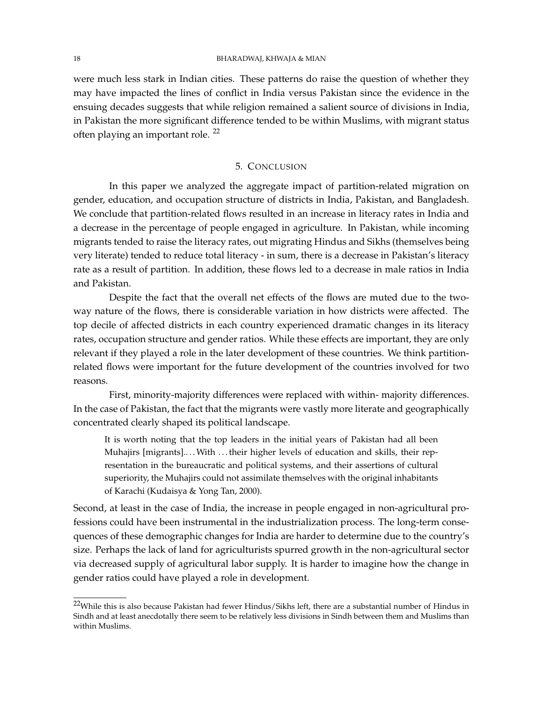#### 18 BHARADWAJ, KHWAJA & MIAN

were much less stark in Indian cities. These patterns do raise the question of whether they may have impacted the lines of conflict in India versus Pakistan since the evidence in the ensuing decades suggests that while religion remained a salient source of divisions in India, in Pakistan the more significant difference tended to be within Muslims, with migrant status often playing an important role. <sup>22</sup>

# 5. CONCLUSION

In this paper we analyzed the aggregate impact of partition-related migration on gender, education, and occupation structure of districts in India, Pakistan, and Bangladesh. We conclude that partition-related flows resulted in an increase in literacy rates in India and a decrease in the percentage of people engaged in agriculture. In Pakistan, while incoming migrants tended to raise the literacy rates, out migrating Hindus and Sikhs (themselves being very literate) tended to reduce total literacy - in sum, there is a decrease in Pakistan's literacy rate as a result of partition. In addition, these flows led to a decrease in male ratios in India and Pakistan.

Despite the fact that the overall net effects of the flows are muted due to the twoway nature of the flows, there is considerable variation in how districts were affected. The top decile of affected districts in each country experienced dramatic changes in its literacy rates, occupation structure and gender ratios. While these effects are important, they are only relevant if they played a role in the later development of these countries. We think partitionrelated flows were important for the future development of the countries involved for two reasons.

First, minority-majority differences were replaced with within- majority differences. In the case of Pakistan, the fact that the migrants were vastly more literate and geographically concentrated clearly shaped its political landscape.

It is worth noting that the top leaders in the initial years of Pakistan had all been Muhajirs [migrants].... With ... their higher levels of education and skills, their representation in the bureaucratic and political systems, and their assertions of cultural superiority, the Muhajirs could not assimilate themselves with the original inhabitants of Karachi (Kudaisya & Yong Tan, 2000).

Second, at least in the case of India, the increase in people engaged in non-agricultural professions could have been instrumental in the industrialization process. The long-term consequences of these demographic changes for India are harder to determine due to the country's size. Perhaps the lack of land for agriculturists spurred growth in the non-agricultural sector via decreased supply of agricultural labor supply. It is harder to imagine how the change in gender ratios could have played a role in development.

<sup>22</sup>While this is also because Pakistan had fewer Hindus/Sikhs left, there are a substantial number of Hindus in Sindh and at least anecdotally there seem to be relatively less divisions in Sindh between them and Muslims than within Muslims.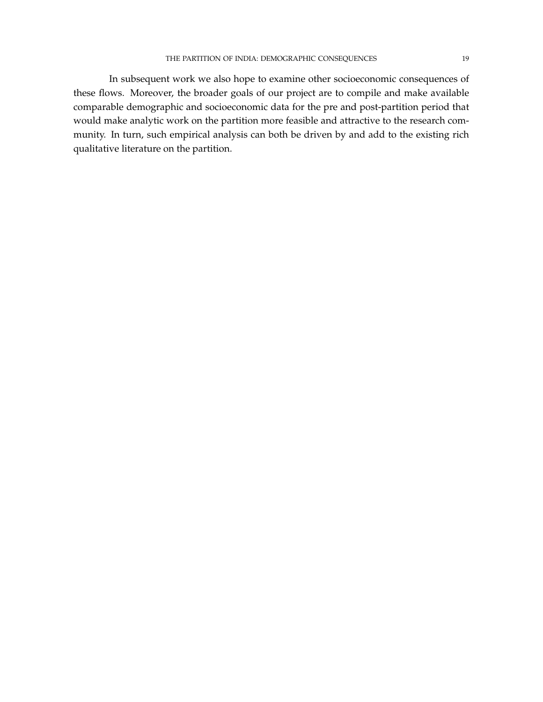In subsequent work we also hope to examine other socioeconomic consequences of these flows. Moreover, the broader goals of our project are to compile and make available comparable demographic and socioeconomic data for the pre and post-partition period that would make analytic work on the partition more feasible and attractive to the research community. In turn, such empirical analysis can both be driven by and add to the existing rich qualitative literature on the partition.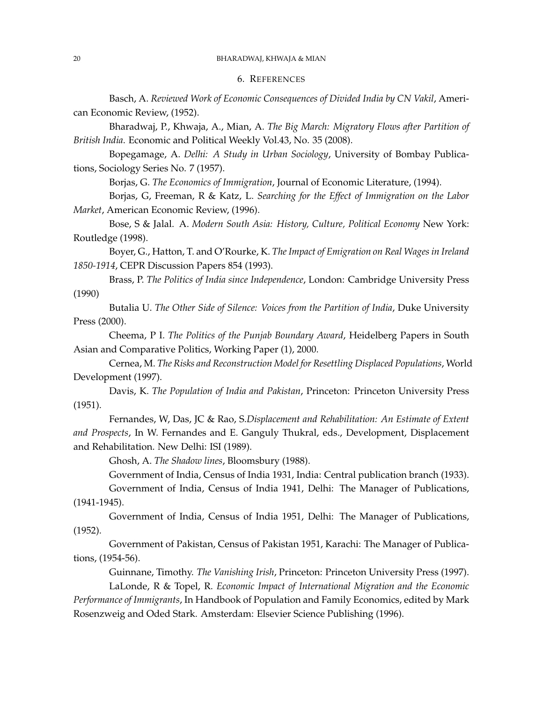#### 20 BHARADWAJ, KHWAJA & MIAN

#### 6. REFERENCES

Basch, A. *Reviewed Work of Economic Consequences of Divided India by CN Vakil*, American Economic Review, (1952).

Bharadwaj, P., Khwaja, A., Mian, A. *The Big March: Migratory Flows after Partition of British India*. Economic and Political Weekly Vol.43, No. 35 (2008).

Bopegamage, A. *Delhi: A Study in Urban Sociology*, University of Bombay Publications, Sociology Series No. 7 (1957).

Borjas, G. *The Economics of Immigration*, Journal of Economic Literature, (1994).

Borjas, G, Freeman, R & Katz, L. *Searching for the Effect of Immigration on the Labor Market*, American Economic Review, (1996).

Bose, S & Jalal. A. *Modern South Asia: History, Culture, Political Economy* New York: Routledge (1998).

Boyer, G., Hatton, T. and O'Rourke, K. *The Impact of Emigration on Real Wages in Ireland 1850-1914*, CEPR Discussion Papers 854 (1993).

Brass, P. *The Politics of India since Independence*, London: Cambridge University Press (1990)

Butalia U. *The Other Side of Silence: Voices from the Partition of India*, Duke University Press (2000).

Cheema, P I. *The Politics of the Punjab Boundary Award*, Heidelberg Papers in South Asian and Comparative Politics, Working Paper (1), 2000.

Cernea, M. *The Risks and Reconstruction Model for Resettling Displaced Populations*, World Development (1997).

Davis, K. *The Population of India and Pakistan*, Princeton: Princeton University Press (1951).

Fernandes, W, Das, JC & Rao, S.*Displacement and Rehabilitation: An Estimate of Extent and Prospects*, In W. Fernandes and E. Ganguly Thukral, eds., Development, Displacement and Rehabilitation. New Delhi: ISI (1989).

Ghosh, A. *The Shadow lines*, Bloomsbury (1988).

Government of India, Census of India 1931, India: Central publication branch (1933).

Government of India, Census of India 1941, Delhi: The Manager of Publications, (1941-1945).

Government of India, Census of India 1951, Delhi: The Manager of Publications, (1952).

Government of Pakistan, Census of Pakistan 1951, Karachi: The Manager of Publications, (1954-56).

Guinnane, Timothy. *The Vanishing Irish*, Princeton: Princeton University Press (1997).

LaLonde, R & Topel, R. *Economic Impact of International Migration and the Economic Performance of Immigrants*, In Handbook of Population and Family Economics, edited by Mark Rosenzweig and Oded Stark. Amsterdam: Elsevier Science Publishing (1996).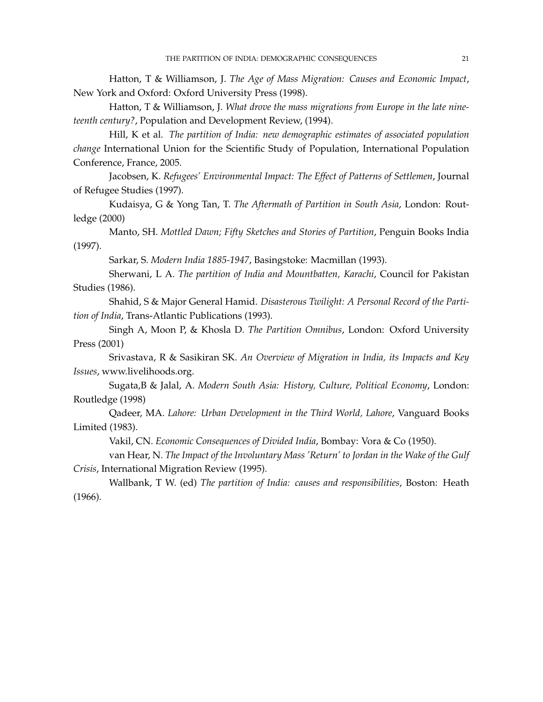Hatton, T & Williamson, J. *The Age of Mass Migration: Causes and Economic Impact*, New York and Oxford: Oxford University Press (1998).

Hatton, T & Williamson, J. *What drove the mass migrations from Europe in the late nineteenth century?*, Population and Development Review, (1994).

Hill, K et al. *The partition of India: new demographic estimates of associated population change* International Union for the Scientific Study of Population, International Population Conference, France, 2005.

Jacobsen, K. *Refugees' Environmental Impact: The Effect of Patterns of Settlemen*, Journal of Refugee Studies (1997).

Kudaisya, G & Yong Tan, T. *The Aftermath of Partition in South Asia*, London: Routledge (2000)

Manto, SH. *Mottled Dawn; Fifty Sketches and Stories of Partition*, Penguin Books India (1997).

Sarkar, S. *Modern India 1885-1947*, Basingstoke: Macmillan (1993).

Sherwani, L A. *The partition of India and Mountbatten, Karachi*, Council for Pakistan Studies (1986).

Shahid, S & Major General Hamid. *Disasterous Twilight: A Personal Record of the Partition of India*, Trans-Atlantic Publications (1993).

Singh A, Moon P, & Khosla D. *The Partition Omnibus*, London: Oxford University Press (2001)

Srivastava, R & Sasikiran SK. *An Overview of Migration in India, its Impacts and Key Issues*, www.livelihoods.org.

Sugata,B & Jalal, A. *Modern South Asia: History, Culture, Political Economy*, London: Routledge (1998)

Qadeer, MA. *Lahore: Urban Development in the Third World, Lahore*, Vanguard Books Limited (1983).

Vakil, CN. *Economic Consequences of Divided India*, Bombay: Vora & Co (1950).

van Hear, N. *The Impact of the Involuntary Mass 'Return' to Jordan in the Wake of the Gulf Crisis*, International Migration Review (1995).

Wallbank, T W. (ed) *The partition of India: causes and responsibilities*, Boston: Heath (1966).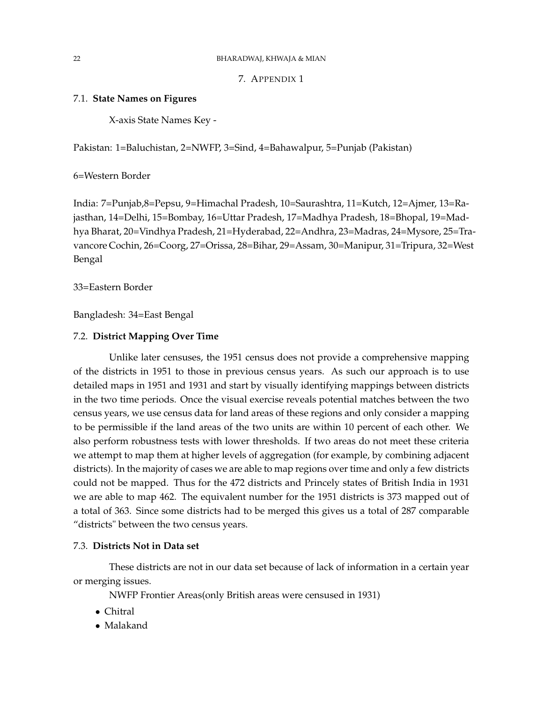#### 22 BHARADWAJ, KHWAJA & MIAN

7. APPENDIX 1

### 7.1. **State Names on Figures**

X-axis State Names Key -

Pakistan: 1=Baluchistan, 2=NWFP, 3=Sind, 4=Bahawalpur, 5=Punjab (Pakistan)

# 6=Western Border

India: 7=Punjab,8=Pepsu, 9=Himachal Pradesh, 10=Saurashtra, 11=Kutch, 12=Ajmer, 13=Rajasthan, 14=Delhi, 15=Bombay, 16=Uttar Pradesh, 17=Madhya Pradesh, 18=Bhopal, 19=Madhya Bharat, 20=Vindhya Pradesh, 21=Hyderabad, 22=Andhra, 23=Madras, 24=Mysore, 25=Travancore Cochin, 26=Coorg, 27=Orissa, 28=Bihar, 29=Assam, 30=Manipur, 31=Tripura, 32=West Bengal

33=Eastern Border

Bangladesh: 34=East Bengal

# 7.2. **District Mapping Over Time**

Unlike later censuses, the 1951 census does not provide a comprehensive mapping of the districts in 1951 to those in previous census years. As such our approach is to use detailed maps in 1951 and 1931 and start by visually identifying mappings between districts in the two time periods. Once the visual exercise reveals potential matches between the two census years, we use census data for land areas of these regions and only consider a mapping to be permissible if the land areas of the two units are within 10 percent of each other. We also perform robustness tests with lower thresholds. If two areas do not meet these criteria we attempt to map them at higher levels of aggregation (for example, by combining adjacent districts). In the majority of cases we are able to map regions over time and only a few districts could not be mapped. Thus for the 472 districts and Princely states of British India in 1931 we are able to map 462. The equivalent number for the 1951 districts is 373 mapped out of a total of 363. Since some districts had to be merged this gives us a total of 287 comparable "districts" between the two census years.

# 7.3. **Districts Not in Data set**

These districts are not in our data set because of lack of information in a certain year or merging issues.

NWFP Frontier Areas(only British areas were censused in 1931)

- Chitral
- Malakand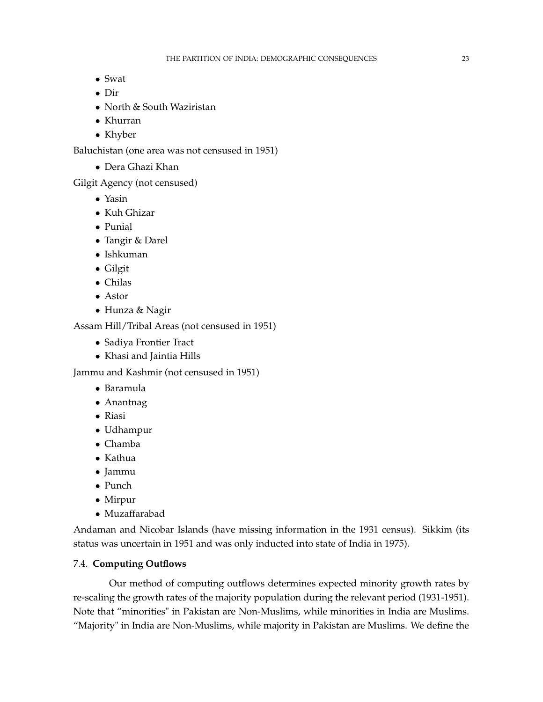- Swat
- Dir
- North & South Waziristan
- Khurran
- Khyber

Baluchistan (one area was not censused in 1951)

• Dera Ghazi Khan

Gilgit Agency (not censused)

- Yasin
- Kuh Ghizar
- Punial
- Tangir & Darel
- Ishkuman
- Gilgit
- Chilas
- Astor
- Hunza & Nagir

Assam Hill/Tribal Areas (not censused in 1951)

- Sadiya Frontier Tract
- Khasi and Jaintia Hills

Jammu and Kashmir (not censused in 1951)

- Baramula
- Anantnag
- Riasi
- Udhampur
- Chamba
- Kathua
- Jammu
- Punch
- Mirpur
- Muzaffarabad

Andaman and Nicobar Islands (have missing information in the 1931 census). Sikkim (its status was uncertain in 1951 and was only inducted into state of India in 1975).

## 7.4. **Computing Outflows**

Our method of computing outflows determines expected minority growth rates by re-scaling the growth rates of the majority population during the relevant period (1931-1951). Note that "minorities" in Pakistan are Non-Muslims, while minorities in India are Muslims. "Majority" in India are Non-Muslims, while majority in Pakistan are Muslims. We define the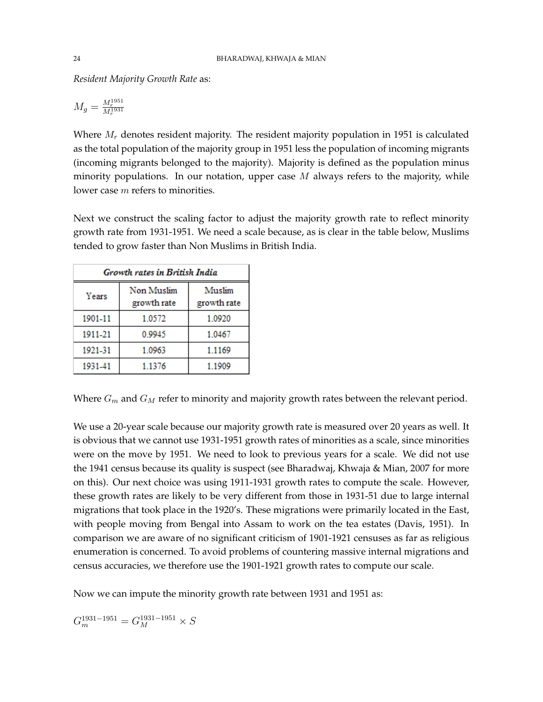*Resident Majority Growth Rate* as:

$$
M_g = \tfrac{M_r^{1951}}{M_r^{1931}}
$$

Where  $M_r$  denotes resident majority. The resident majority population in 1951 is calculated as the total population of the majority group in 1951 less the population of incoming migrants (incoming migrants belonged to the majority). Majority is defined as the population minus minority populations. In our notation, upper case  $M$  always refers to the majority, while lower case m refers to minorities.

Next we construct the scaling factor to adjust the majority growth rate to reflect minority growth rate from 1931-1951. We need a scale because, as is clear in the table below, Muslims tended to grow faster than Non Muslims in British India.

| Growth rates in British India |                           |                       |  |  |  |  |  |  |
|-------------------------------|---------------------------|-----------------------|--|--|--|--|--|--|
| Years                         | Non Muslim<br>growth rate | Muslim<br>growth rate |  |  |  |  |  |  |
| 1901-11                       | 1.0572                    | 1.0920                |  |  |  |  |  |  |
| 1911-21                       | 0.9945                    | 1.0467                |  |  |  |  |  |  |
| 1921-31                       | 1.0963                    | 1.1169                |  |  |  |  |  |  |
| 1931-41                       | 1.1376                    | 1.1909                |  |  |  |  |  |  |

Where  $G_m$  and  $G_M$  refer to minority and majority growth rates between the relevant period.

We use a 20-year scale because our majority growth rate is measured over 20 years as well. It is obvious that we cannot use 1931-1951 growth rates of minorities as a scale, since minorities were on the move by 1951. We need to look to previous years for a scale. We did not use the 1941 census because its quality is suspect (see Bharadwaj, Khwaja & Mian, 2007 for more on this). Our next choice was using 1911-1931 growth rates to compute the scale. However, these growth rates are likely to be very different from those in 1931-51 due to large internal migrations that took place in the 1920's. These migrations were primarily located in the East, with people moving from Bengal into Assam to work on the tea estates (Davis, 1951). In comparison we are aware of no significant criticism of 1901-1921 censuses as far as religious enumeration is concerned. To avoid problems of countering massive internal migrations and census accuracies, we therefore use the 1901-1921 growth rates to compute our scale.

Now we can impute the minority growth rate between 1931 and 1951 as:

$$
G_m^{1931-1951}=G_M^{1931-1951}\times S
$$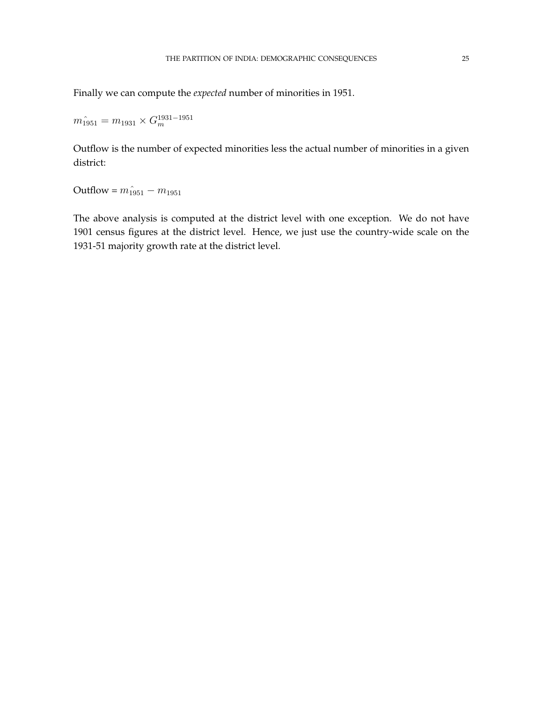Finally we can compute the *expected* number of minorities in 1951.

 $m_{1951}^{\sim} = m_{1931} \times G_m^{1931-1951}$ 

Outflow is the number of expected minorities less the actual number of minorities in a given district:

Outflow =  $m_{1951} - m_{1951}$ 

The above analysis is computed at the district level with one exception. We do not have 1901 census figures at the district level. Hence, we just use the country-wide scale on the 1931-51 majority growth rate at the district level.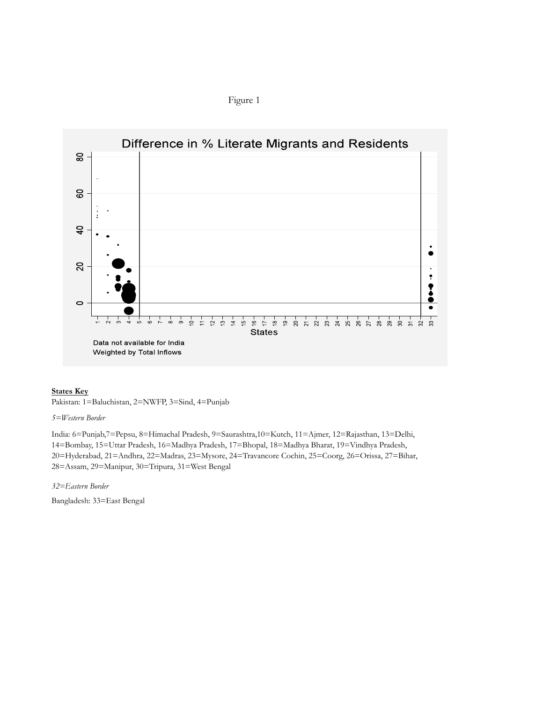



Pakistan: 1=Baluchistan, 2=NWFP, 3=Sind, 4=Punjab

*5=Western Border*

India: 6=Punjab,7=Pepsu, 8=Himachal Pradesh, 9=Saurashtra,10=Kutch, 11=Ajmer, 12=Rajasthan, 13=Delhi, 14=Bombay, 15=Uttar Pradesh, 16=Madhya Pradesh, 17=Bhopal, 18=Madhya Bharat, 19=Vindhya Pradesh, 20=Hyderabad, 21=Andhra, 22=Madras, 23=Mysore, 24=Travancore Cochin, 25=Coorg, 26=Orissa, 27=Bihar, 28=Assam, 29=Manipur, 30=Tripura, 31=West Bengal

*32=Eastern Border*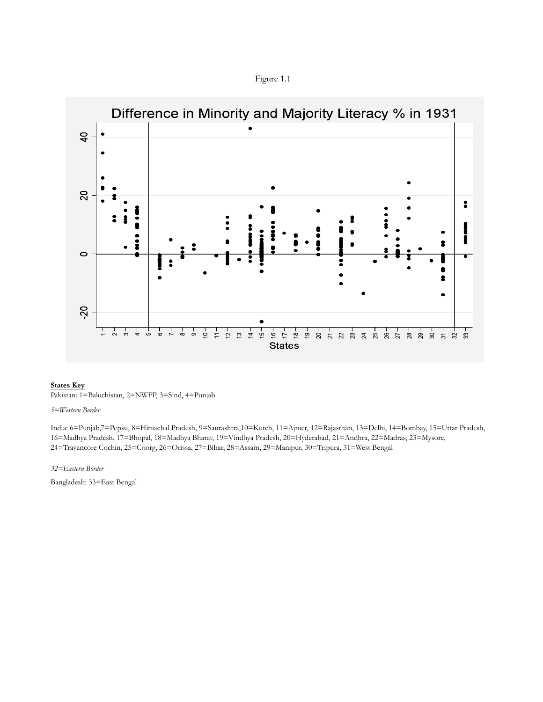



Pakistan: 1=Baluchistan, 2=NWFP, 3=Sind, 4=Punjab

#### *5=Western Border*

India: 6=Punjab,7=Pepsu, 8=Himachal Pradesh, 9=Saurashtra,10=Kutch, 11=Ajmer, 12=Rajasthan, 13=Delhi, 14=Bombay, 15=Uttar Pradesh, 16=Madhya Pradesh, 17=Bhopal, 18=Madhya Bharat, 19=Vindhya Pradesh, 20=Hyderabad, 21=Andhra, 22=Madras, 23=Mysore, 24=Travancore Cochin, 25=Coorg, 26=Orissa, 27=Bihar, 28=Assam, 29=Manipur, 30=Tripura, 31=West Bengal

#### *32=Eastern Border*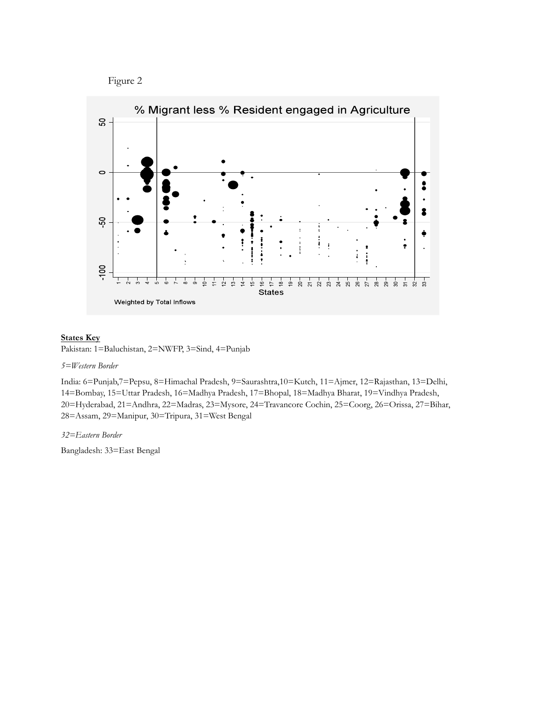



Pakistan: 1=Baluchistan, 2=NWFP, 3=Sind, 4=Punjab

*5=Western Border*

India: 6=Punjab,7=Pepsu, 8=Himachal Pradesh, 9=Saurashtra,10=Kutch, 11=Ajmer, 12=Rajasthan, 13=Delhi, 14=Bombay, 15=Uttar Pradesh, 16=Madhya Pradesh, 17=Bhopal, 18=Madhya Bharat, 19=Vindhya Pradesh, 20=Hyderabad, 21=Andhra, 22=Madras, 23=Mysore, 24=Travancore Cochin, 25=Coorg, 26=Orissa, 27=Bihar, 28=Assam, 29=Manipur, 30=Tripura, 31=West Bengal

*32=Eastern Border*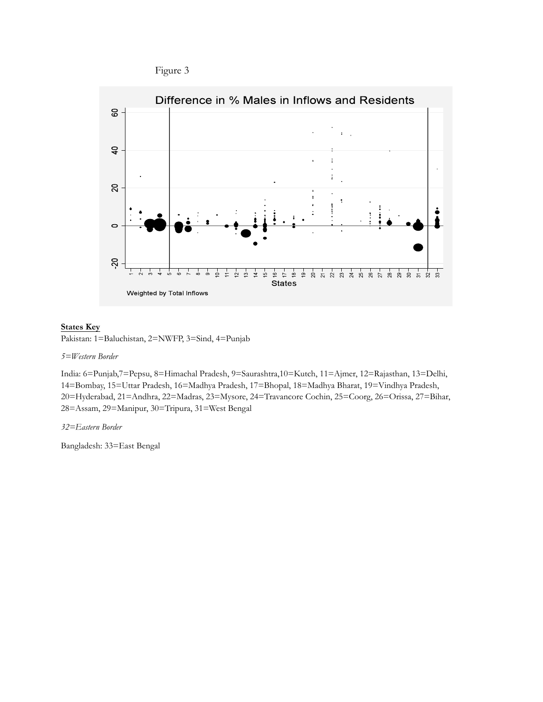



Pakistan: 1=Baluchistan, 2=NWFP, 3=Sind, 4=Punjab

*5=Western Border*

India: 6=Punjab,7=Pepsu, 8=Himachal Pradesh, 9=Saurashtra,10=Kutch, 11=Ajmer, 12=Rajasthan, 13=Delhi, 14=Bombay, 15=Uttar Pradesh, 16=Madhya Pradesh, 17=Bhopal, 18=Madhya Bharat, 19=Vindhya Pradesh, 20=Hyderabad, 21=Andhra, 22=Madras, 23=Mysore, 24=Travancore Cochin, 25=Coorg, 26=Orissa, 27=Bihar, 28=Assam, 29=Manipur, 30=Tripura, 31=West Bengal

*32=Eastern Border*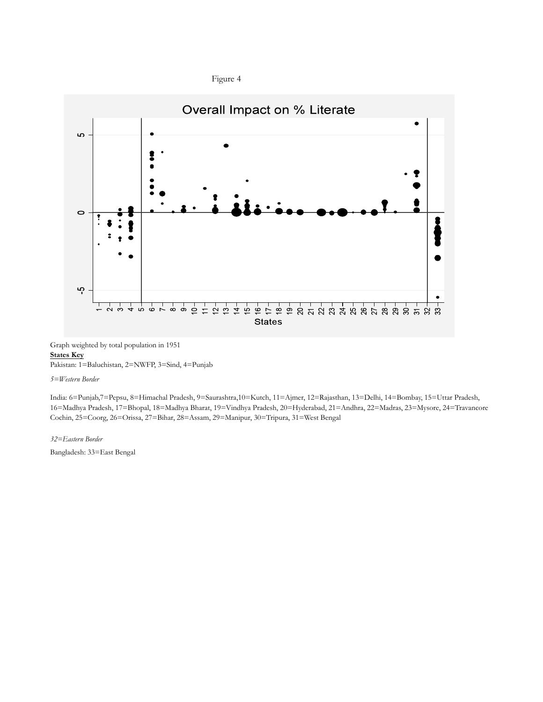### Figure 4



Graph weighted by total population in 1951 **States Key** Pakistan: 1=Baluchistan, 2=NWFP, 3=Sind, 4=Punjab

*5=Western Border*

India: 6=Punjab,7=Pepsu, 8=Himachal Pradesh, 9=Saurashtra,10=Kutch, 11=Ajmer, 12=Rajasthan, 13=Delhi, 14=Bombay, 15=Uttar Pradesh, 16=Madhya Pradesh, 17=Bhopal, 18=Madhya Bharat, 19=Vindhya Pradesh, 20=Hyderabad, 21=Andhra, 22=Madras, 23=Mysore, 24=Travancore Cochin, 25=Coorg, 26=Orissa, 27=Bihar, 28=Assam, 29=Manipur, 30=Tripura, 31=West Bengal

*32=Eastern Border*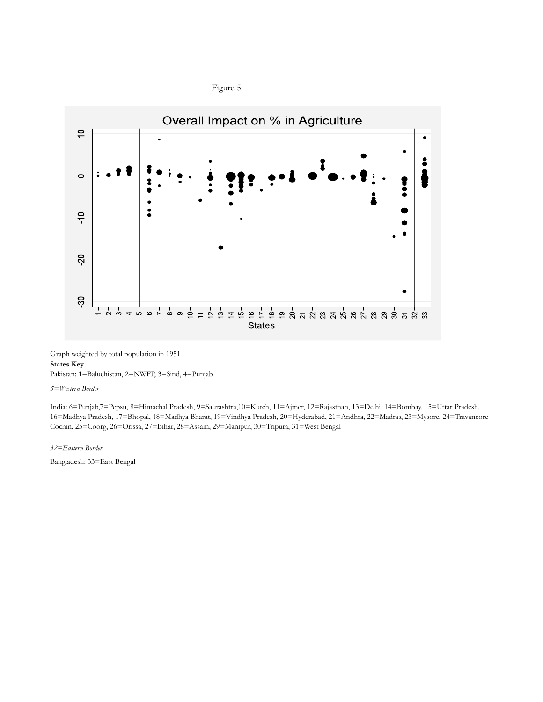



Graph weighted by total population in 1951 **States Key** Pakistan: 1=Baluchistan, 2=NWFP, 3=Sind, 4=Punjab

*5=Western Border*

India: 6=Punjab,7=Pepsu, 8=Himachal Pradesh, 9=Saurashtra,10=Kutch, 11=Ajmer, 12=Rajasthan, 13=Delhi, 14=Bombay, 15=Uttar Pradesh, 16=Madhya Pradesh, 17=Bhopal, 18=Madhya Bharat, 19=Vindhya Pradesh, 20=Hyderabad, 21=Andhra, 22=Madras, 23=Mysore, 24=Travancore Cochin, 25=Coorg, 26=Orissa, 27=Bihar, 28=Assam, 29=Manipur, 30=Tripura, 31=West Bengal

*32=Eastern Border*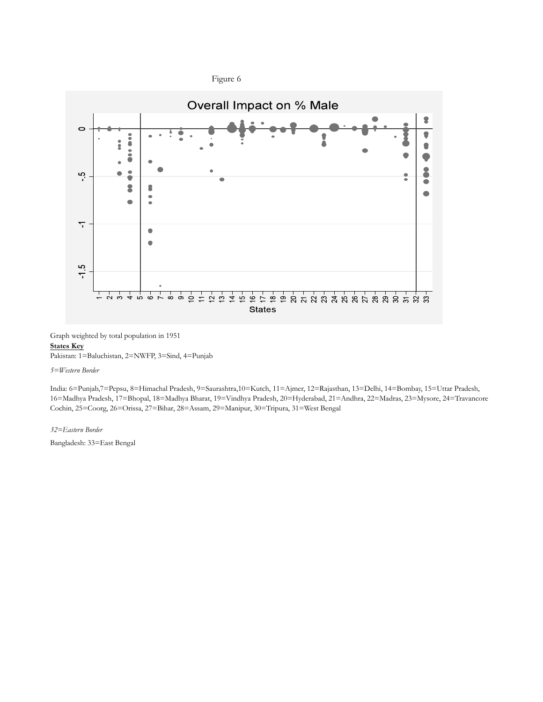



Graph weighted by total population in 1951 **States Key** Pakistan: 1=Baluchistan, 2=NWFP, 3=Sind, 4=Punjab

*5=Western Border*

India: 6=Punjab,7=Pepsu, 8=Himachal Pradesh, 9=Saurashtra,10=Kutch, 11=Ajmer, 12=Rajasthan, 13=Delhi, 14=Bombay, 15=Uttar Pradesh, 16=Madhya Pradesh, 17=Bhopal, 18=Madhya Bharat, 19=Vindhya Pradesh, 20=Hyderabad, 21=Andhra, 22=Madras, 23=Mysore, 24=Travancore Cochin, 25=Coorg, 26=Orissa, 27=Bihar, 28=Assam, 29=Manipur, 30=Tripura, 31=West Bengal

*32=Eastern Border*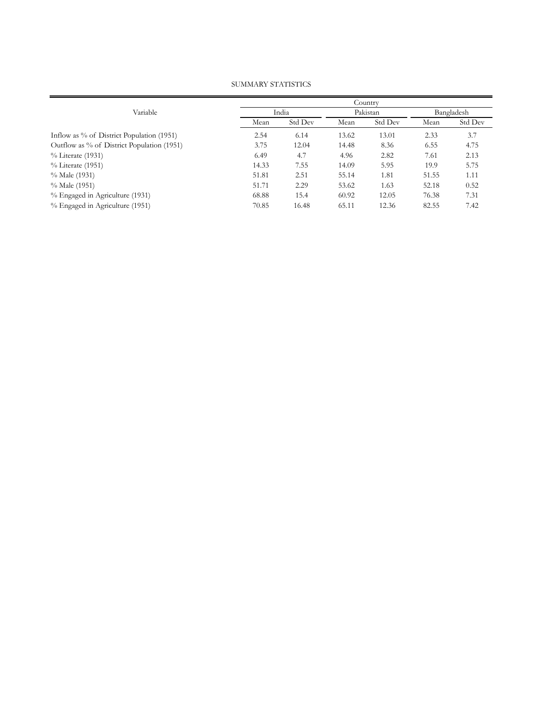|                                            | Country |         |       |          |            |         |  |  |  |
|--------------------------------------------|---------|---------|-------|----------|------------|---------|--|--|--|
| Variable                                   |         | India   |       | Pakistan | Bangladesh |         |  |  |  |
|                                            | Mean    | Std Dev | Mean  | Std Dev  | Mean       | Std Dev |  |  |  |
| Inflow as % of District Population (1951)  | 2.54    | 6.14    | 13.62 | 13.01    | 2.33       | 3.7     |  |  |  |
| Outflow as % of District Population (1951) | 3.75    | 12.04   | 14.48 | 8.36     | 6.55       | 4.75    |  |  |  |
| $\%$ Literate (1931)                       | 6.49    | 4.7     | 4.96  | 2.82     | 7.61       | 2.13    |  |  |  |
| $\%$ Literate (1951)                       | 14.33   | 7.55    | 14.09 | 5.95     | 19.9       | 5.75    |  |  |  |
| % Male (1931)                              | 51.81   | 2.51    | 55.14 | 1.81     | 51.55      | 1.11    |  |  |  |
| % Male (1951)                              | 51.71   | 2.29    | 53.62 | 1.63     | 52.18      | 0.52    |  |  |  |
| % Engaged in Agriculture (1931)            | 68.88   | 15.4    | 60.92 | 12.05    | 76.38      | 7.31    |  |  |  |
| % Engaged in Agriculture (1951)            | 70.85   | 16.48   | 65.11 | 12.36    | 82.55      | 7.42    |  |  |  |

# SUMMARY STATISTICS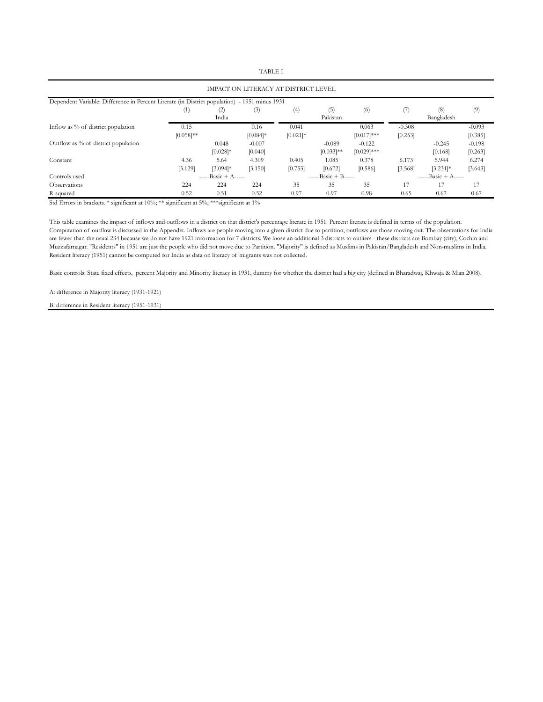|                                                                                               |                     |                   | IMPACT ON LITERACY AT DISTRICT LEVEL |             |                   |               |          |                   |          |  |
|-----------------------------------------------------------------------------------------------|---------------------|-------------------|--------------------------------------|-------------|-------------------|---------------|----------|-------------------|----------|--|
| Dependent Variable: Difference in Percent Literate (in District population) - 1951 minus 1931 |                     |                   |                                      |             |                   |               |          |                   |          |  |
|                                                                                               | $\scriptstyle{(1)}$ | (2)<br>India      | (3)                                  | (4)         | (5)<br>Pakistan   | (6)           | (7)      | (8)<br>Bangladesh | (9)      |  |
| Inflow as % of district population                                                            | 0.15                |                   | 0.16                                 | 0.041       |                   | 0.063         | $-0.308$ |                   | $-0.093$ |  |
|                                                                                               | $[0.058]^{**}$      |                   | $[0.084]$ *                          | $[0.021]$ * |                   | $[0.017]***$  | [0.253]  |                   | [0.385]  |  |
| Outflow as % of district population                                                           |                     | 0.048             | $-0.007$                             |             | $-0.089$          | $-0.122$      |          | $-0.245$          | $-0.198$ |  |
|                                                                                               |                     | $[0.028]*$        | [0.040]                              |             | $[0.033]^{**}$    | $[0.029]$ *** |          | [0.168]           | [0.263]  |  |
| Constant                                                                                      | 4.36                | 5.64              | 4.309                                | 0.405       | 1.085             | 0.378         | 6.173    | 5.944             | 6.274    |  |
|                                                                                               | [3.129]             | $[3.094]$ *       | [3.150]                              | [0.753]     | [0.672]           | [0.586]       | [3.568]  | $[3.231]$ *       | [3.643]  |  |
| Controls used                                                                                 |                     | $---Basic + A---$ |                                      |             | $---Basic + B---$ |               |          | $---Basic + A---$ |          |  |
| Observations                                                                                  | 224                 | 224               | 224                                  | 35          | 35                | 35            | 17       | 17                | 17       |  |
| R-squared                                                                                     | 0.52                | 0.51              | 0.52                                 | 0.97        | 0.97              | 0.98          | 0.65     | 0.67              | 0.67     |  |

TABLE I

Std Errors in brackets. \* significant at 10%; \*\* significant at 5%, \*\*\*significant at 1%

This table examines the impact of inflows and outflows in a district on that district's percentage literate in 1951. Percent literate is defined in terms of the population. Computation of outflow is discussed in the Appendix. Inflows are people moving into a given district due to partition, outflows are those moving out. The observations for India are fewer than the usual 234 because we do not have 1921 information for 7 districts. We loose an additional 3 districts to outliers - these districts are Bombay (city), Cochin and Muzzafarnagar. "Residents" in 1951 are just the people who did not move due to Partition. "Majority" is defined as Muslims in Pakistan/Bangladesh and Non-muslims in India. Resident literacy (1951) cannot be computed for India as data on literacy of migrants was not collected.

Basic controls: State fixed effects, percent Majority and Minority literacy in 1931, dummy for whether the district had a big city (defined in Bharadwaj, Khwaja & Mian 2008).

A: difference in Majority literacy (1931-1921)

B: difference in Resident literacy (1951-1931)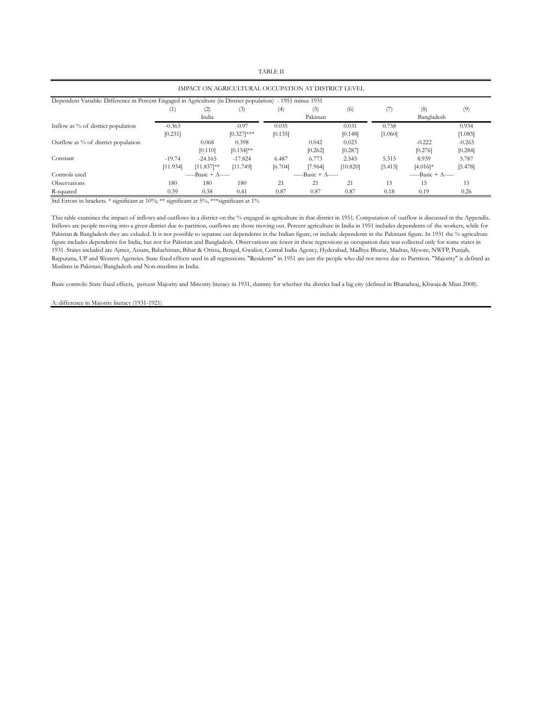|                                                                                                             |                      |                           | IMPACT ON AGRICULTURAL OCCUPATION AT DISTRICT LEVEL |                  |                   |                   |                  |                      |                     |
|-------------------------------------------------------------------------------------------------------------|----------------------|---------------------------|-----------------------------------------------------|------------------|-------------------|-------------------|------------------|----------------------|---------------------|
| Dependent Variable: Difference in Percent Engaged in Agriculture (in District population) - 1951 minus 1931 |                      |                           |                                                     |                  |                   |                   |                  |                      |                     |
|                                                                                                             | $^{(1)}$             | (2)<br>India              | (3)                                                 | (4)              | (5)<br>Pakistan   | (6)               | (7)              | (8)<br>Bangladesh    | (9)                 |
| Inflow as % of district population                                                                          | $-0.363$<br>[0.231]  |                           | $-0.97$<br>$[0.327]***$                             | 0.035<br>[0.135] |                   | 0.031<br>[0.148]  | 0.758<br>[1.060] |                      | 0.934<br>[1.085]    |
| Outflow as % of district population                                                                         |                      | 0.068<br>[0.110]          | 0.398<br>$[0.154]$ **                               |                  | 0.042<br>[0.262]  | 0.023<br>[0.287]  |                  | $-0.222$<br>[0.276]  | $-0.265$<br>[0.284] |
| Constant                                                                                                    | $-19.74$<br>[11.934] | $-24.165$<br>$[11.837]**$ | $-17.824$<br>[11.749]                               | 6.487<br>[6.704] | 6.773<br>[7.964]  | 2.545<br>[10.820] | 5.315<br>[5.415] | 8.939<br>$[4.016]$ * | 5.787<br>[5.478]    |
| Controls used                                                                                               |                      | $---Basic + A---$         |                                                     |                  | $---Basic + A---$ |                   |                  | $---Basic + A---$    |                     |
| Observations                                                                                                | 180                  | 180                       | 180                                                 | 21               | 21                | 21                | 15               | 15                   | 15                  |
| R-squared                                                                                                   | 0.39                 | 0.38                      | 0.41                                                | 0.87             | 0.87              | 0.87              | 0.18             | 0.19                 | 0.26                |

TABLE II

Std Errors in brackets. \* significant at 10%; \*\* significant at 5%, \*\*\*significant at 1%

This table examines the impact of inflows and outflows in a district on the % engaged in agriculture in that district in 1951. Computation of outflow is discussed in the Appendix. Inflows are people moving into a given district due to partition, outflows are those moving out. Percent agriculture in India in 1951 includes dependents of the workers, while for Pakistan & Bangladesh they are exluded. It is not possible to separate out dependents in the Indian figure, or include dependents in the Pakistani figure. In 1931 the % agriculture figure includes dependents for India, but not for Pakistan and Bangladesh. Observations are fewer in these regressions as occupation data was collected only for some states in 1931. States included are Ajmer, Assam, Baluchistan, Bihar & Orissa, Bengal, Gwalior, Central India Agency, Hyderabad, Madhya Bharat, Madras, Mysore, NWFP, Punjab, Rajputana, UP and Western Agencies. State fixed effects used in all regressions. "Residents" in 1951 are just the people who did not move due to Partition. "Majority" is defined as Muslims in Pakistan/Bangladesh and Non-muslims in India.

Basic controls: State fixed effects, percent Majority and Minority literacy in 1931, dummy for whether the district had a big city (defined in Bharadwaj, Khwaja & Mian 2008).

A: difference in Majority literacy (1931-1921)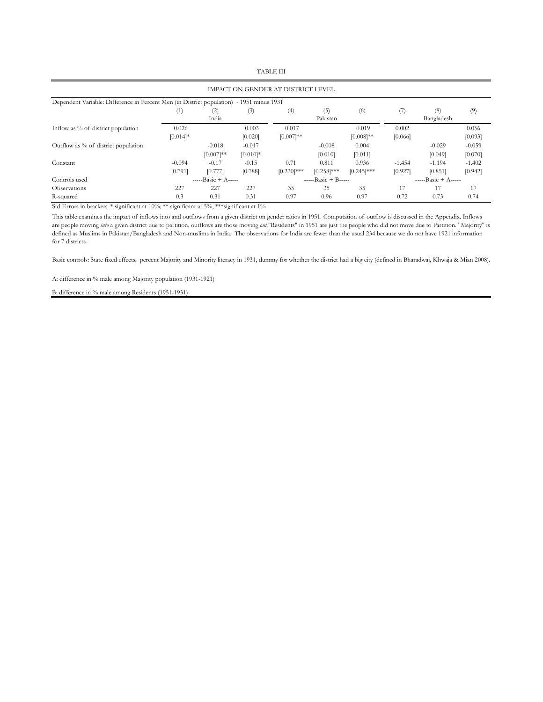|                                                                                          |             |                   |            | IMPACT ON GENDER AT DISTRICT LEVEL |                   |                |          |                   |          |  |
|------------------------------------------------------------------------------------------|-------------|-------------------|------------|------------------------------------|-------------------|----------------|----------|-------------------|----------|--|
| Dependent Variable: Difference in Percent Men (in District population) - 1951 minus 1931 |             |                   |            |                                    |                   |                |          |                   |          |  |
|                                                                                          | (1)         | (2)               | (3)        | (4)                                | (5)               | (6)            | (7)      | (8)               | (9)      |  |
|                                                                                          |             | India             |            |                                    | Pakistan          |                |          | Bangladesh        |          |  |
| Inflow as % of district population                                                       | $-0.026$    |                   | $-0.003$   | $-0.017$                           |                   | $-0.019$       | 0.002    |                   | 0.056    |  |
|                                                                                          | $[0.014]$ * |                   | [0.020]    | $[0.007]**$                        |                   | $[0.008]^{**}$ | [0.066]  |                   | [0.093]  |  |
| Outflow as % of district population                                                      |             | $-0.018$          | $-0.017$   |                                    | $-0.008$          | 0.004          |          | $-0.029$          | $-0.059$ |  |
|                                                                                          |             | $[0.007]**$       | $[0.010]*$ |                                    | [0.010]           | [0.011]        |          | [0.049]           | [0.070]  |  |
| Constant                                                                                 | $-0.094$    | $-0.17$           | $-0.15$    | 0.71                               | 0.811             | 0.936          | $-1.454$ | $-1.194$          | $-1.402$ |  |
|                                                                                          | [0.791]     | [0.777]           | [0.788]    | $[0.220]$ ***                      | $[0.258]$ ***     | $[0.245]$ ***  | [0.927]  | [0.851]           | [0.942]  |  |
| Controls used                                                                            |             | $---Basic + A---$ |            |                                    | $---Basic + B---$ |                |          | $---Basic + A---$ |          |  |
| Observations                                                                             | 227         | 227               | 227        | 35                                 | 35                | 35             | 17       | 17                | 17       |  |
| R-squared                                                                                | 0.3         | 0.31              | 0.31       | 0.97                               | 0.96              | 0.97           | 0.72     | 0.73              | 0.74     |  |

TABLE III

Std Errors in brackets. \* significant at 10%; \*\* significant at 5%, \*\*\* significant at 1%

This table examines the impact of inflows into and outflows from a given district on gender ratios in 1951. Computation of outflow is discussed in the Appendix. Inflows are people moving *into* a given district due to partition, outflows are those moving *out.*"Residents" in 1951 are just the people who did not move due to Partition. "Majority" is defined as Muslims in Pakistan/Bangladesh and Non-muslims in India. The observations for India are fewer than the usual 234 because we do not have 1921 information for 7 districts.

Basic controls: State fixed effects, percent Majority and Minority literacy in 1931, dummy for whether the district had a big city (defined in Bharadwaj, Khwaja & Mian 2008).

A: difference in % male among Majority population (1931-1921)

B: difference in % male among Residents (1951-1931)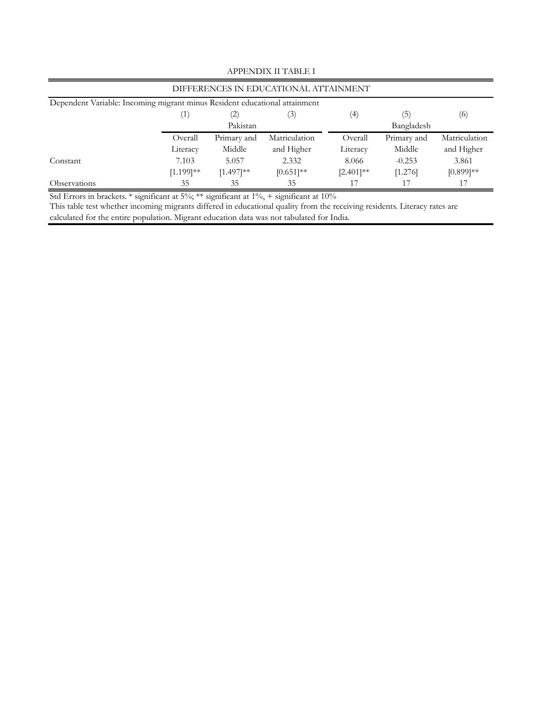| DIFFERENCES IN EDUCATIONAL ATTAINMENT                                                                       |          |             |               |          |             |               |  |  |  |
|-------------------------------------------------------------------------------------------------------------|----------|-------------|---------------|----------|-------------|---------------|--|--|--|
| Dependent Variable: Incoming migrant minus Resident educational attainment                                  |          |             |               |          |             |               |  |  |  |
| (6)<br>$\left( 4\right)$<br>(5)<br>$\left[1\right]$<br>(3)<br>$\langle 2 \rangle$<br>Pakistan<br>Bangladesh |          |             |               |          |             |               |  |  |  |
|                                                                                                             | Overall  | Primary and | Matriculation | Overall  | Primary and | Matriculation |  |  |  |
|                                                                                                             | Literacy | Middle      | and Higher    | Literacy | Middle      | and Higher    |  |  |  |
| Constant                                                                                                    | 7.103    | 5.057       | 2.332         | 8.066    | $-0.253$    | 3.861         |  |  |  |
| $[0.899]$ **<br>$[1.497]**$<br>$[2.401]^{**}$<br>$[1.199]^{**}$<br>$[0.651]^{**}$<br>[1.276]                |          |             |               |          |             |               |  |  |  |
| <b>Observations</b>                                                                                         | 35       | 35          | 35            |          |             | 17            |  |  |  |

APPENDIX II TABLE I

Std Errors in brackets.  $*$  significant at 5%;  $**$  significant at 1%, + significant at 10%

This table test whether incoming migrants differed in educational quality from the receiving residents. Literacy rates are calculated for the entire population. Migrant education data was not tabulated for India.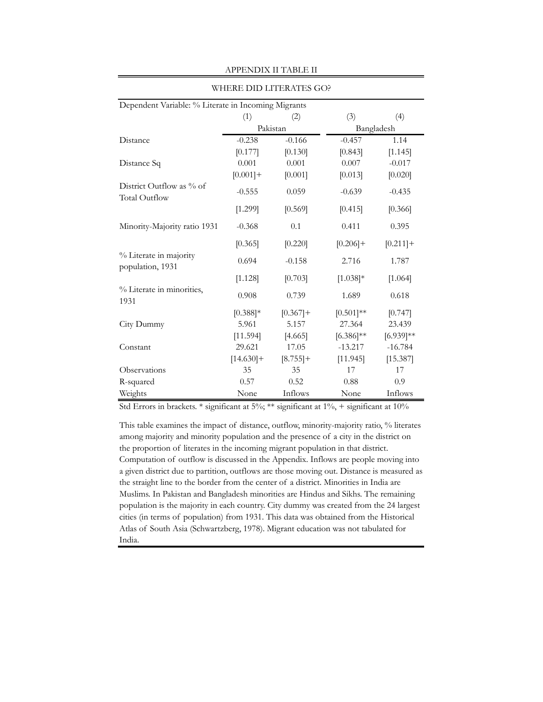|                                                     |             | WHERE DID LITERATES GO? |                |                |
|-----------------------------------------------------|-------------|-------------------------|----------------|----------------|
| Dependent Variable: % Literate in Incoming Migrants |             |                         |                |                |
|                                                     | (1)         | (2)                     | (3)            | (4)            |
|                                                     |             | Pakistan                | Bangladesh     |                |
| Distance                                            | $-0.238$    | $-0.166$                | $-0.457$       | 1.14           |
|                                                     | [0.177]     | [0.130]                 | [0.843]        | [1.145]        |
| Distance Sq                                         | 0.001       | 0.001                   | 0.007          | $-0.017$       |
|                                                     | $[0.001] +$ | [0.001]                 | [0.013]        | [0.020]        |
| District Outflow as % of<br><b>Total Outflow</b>    | $-0.555$    | 0.059                   | $-0.639$       | $-0.435$       |
|                                                     | [1.299]     | [0.569]                 | [0.415]        | [0.366]        |
| Minority-Majority ratio 1931                        | $-0.368$    | 0.1                     | 0.411          | 0.395          |
|                                                     | [0.365]     | [0.220]                 | $[0.206]+$     | $[0.211] +$    |
| % Literate in majority<br>population, 1931          | 0.694       | $-0.158$                | 2.716          | 1.787          |
|                                                     | [1.128]     | [0.703]                 | $[1.038]$ *    | [1.064]        |
| % Literate in minorities,<br>1931                   | 0.908       | 0.739                   | 1.689          | 0.618          |
|                                                     | $[0.388]$ * | $[0.367]+$              | $[0.501]$ **   | [0.747]        |
| City Dummy                                          | 5.961       | 5.157                   | 27.364         | 23.439         |
|                                                     | [11.594]    | [4.665]                 | $[6.386]^{**}$ | $[6.939]^{**}$ |
| Constant                                            | 29.621      | 17.05                   | $-13.217$      | $-16.784$      |
|                                                     | $[14.630]+$ | $[8.755] +$             | [11.945]       | [15.387]       |
| Observations                                        | 35          | 35                      | 17             | 17             |
| R-squared                                           | 0.57        | 0.52                    | 0.88           | 0.9            |
| Weights                                             | None        | Inflows                 | None           | Inflows        |

#### APPENDIX II TABLE II

WHERE DID LITERATES GO?

Std Errors in brackets. \* significant at 5%; \*\* significant at 1%, + significant at 10%

This table examines the impact of distance, outflow, minority-majority ratio, % literates among majority and minority population and the presence of a city in the district on the proportion of literates in the incoming migrant population in that district. Computation of outflow is discussed in the Appendix. Inflows are people moving into a given district due to partition, outflows are those moving out. Distance is measured as the straight line to the border from the center of a district. Minorities in India are Muslims. In Pakistan and Bangladesh minorities are Hindus and Sikhs. The remaining population is the majority in each country. City dummy was created from the 24 largest cities (in terms of population) from 1931. This data was obtained from the Historical Atlas of South Asia (Schwartzberg, 1978). Migrant education was not tabulated for India.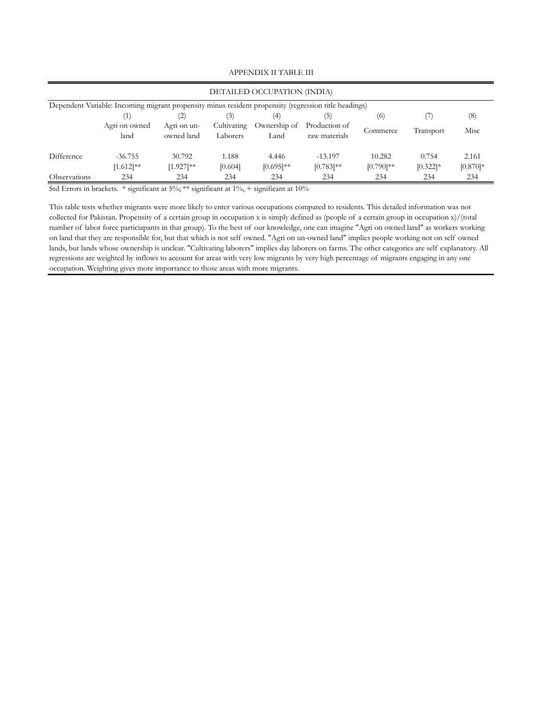|              | DETAILED OCCUPATION (INDIA)                                                                           |                           |                         |                      |                                |                |             |             |  |  |  |
|--------------|-------------------------------------------------------------------------------------------------------|---------------------------|-------------------------|----------------------|--------------------------------|----------------|-------------|-------------|--|--|--|
|              | Dependent Variable: Incoming migrant propensity minus resident propensity (regression title headings) |                           |                         |                      |                                |                |             |             |  |  |  |
|              | (1)                                                                                                   | (2)                       | (3)                     | (4)                  | (5)                            | (6)            |             | (8)         |  |  |  |
|              | Agri on owned<br>land                                                                                 | Agri on un-<br>owned land | Cultivating<br>Laborers | Ownership of<br>Land | Production of<br>raw materials | Commerce       | Transport   | Misc        |  |  |  |
| Difference   | $-36.755$                                                                                             | 30.792                    | 1.188                   | 4.446                | $-13.197$                      | 10.282         | 0.754       | 2.161       |  |  |  |
|              | $[1.612]^{**}$                                                                                        | $[1.927]**$               | [0.604]                 | $[0.695]^{**}$       | $[0.783]^{**}$                 | $[0.790]^{**}$ | $[0.322]$ * | $[0.870]$ * |  |  |  |
| Observations | 234                                                                                                   | 234                       | 234                     | 234                  | 234                            | 234            | 234         | 234         |  |  |  |

APPENDIX II TABLE III

Std Errors in brackets. \* significant at 5%; \*\* significant at 1%, + significant at 10%

This table tests whether migrants were more likely to enter various occupations compared to residents. This detailed information was not collected for Pakistan. Propensity of a certain group in occupation x is simply defined as (people of a certain group in occupation x)/(total number of labor force particiapants in that group). To the best of our knowledge, one can imagine "Agri on owned land" as workers working on land that they are responsible for, but that which is not self owned. "Agri on un-owned land" implies people working not on self owned lands, but lands whose ownership is unclear. "Cultivating laborers" implies day laborers on farms. The other categories are self explanatory. All regressions are weighted by inflows to account for areas with very low migrants by very high percentage of migrants engaging in any one occupation. Weighting gives more importance to those areas with more migrants.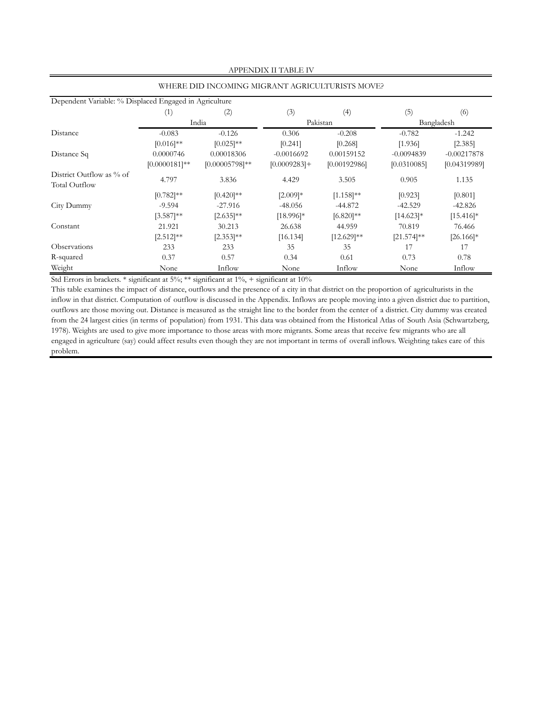|                                                        |                  | WHERE DID INCOMING MIGRAINT AGRICULTURISTS MOVE: |                |                 |                 |               |
|--------------------------------------------------------|------------------|--------------------------------------------------|----------------|-----------------|-----------------|---------------|
| Dependent Variable: % Displaced Engaged in Agriculture |                  |                                                  |                |                 |                 |               |
|                                                        | (1)              | (2)                                              | (3)            | (4)             | (5)             | (6)           |
|                                                        |                  | India                                            |                | Pakistan        |                 | Bangladesh    |
| Distance                                               | $-0.083$         | $-0.126$                                         | 0.306          | $-0.208$        | $-0.782$        | $-1.242$      |
|                                                        | $[0.016]^{**}$   | $[0.025]^{**}$                                   | [0.241]        | [0.268]         | [1.936]         | [2.385]       |
| Distance Sq                                            | 0.0000746        | 0.00018306                                       | $-0.0016692$   | 0.00159152      | $-0.0094839$    | $-0.00217878$ |
|                                                        | $[0.0000181]$ ** | $[0.00005798]$ **                                | $[0.0009283]+$ | [0.00192986]    | [0.0310085]     | [0.04319989]  |
| District Outflow as % of<br>Total Outflow              | 4.797            | 3.836                                            | 4.429          | 3.505           | 0.905           | 1.135         |
|                                                        | $[0.782]^{**}$   | $[0.420]$ **                                     | $[2.009]*$     | $[1.158]^{**}$  | [0.923]         | [0.801]       |
| City Dummy                                             | $-9.594$         | $-27.916$                                        | -48.056        | -44.872         | $-42.529$       | $-42.826$     |
|                                                        | $[3.587]**$      | $[2.635]^{**}$                                   | $[18.996]$ *   | $[6.820]$ **    | $[14.623]*$     | $[15.416]$ *  |
| Constant                                               | 21.921           | 30.213                                           | 26.638         | 44.959          | 70.819          | 76.466        |
|                                                        | $[2.512]^{**}$   | $[2.353]^{**}$                                   | [16.134]       | $[12.629]^{**}$ | $[21.574]^{**}$ | $[26.166]$ *  |
| Observations                                           | 233              | 233                                              | 35             | 35              | 17              | 17            |
| R-squared                                              | 0.37             | 0.57                                             | 0.34           | 0.61            | 0.73            | 0.78          |
| Weight                                                 | None             | Inflow                                           | None           | Inflow          | None            | Inflow        |

#### APPENDIX II TABLE IV

# WHERE DID INCOMING MIGRANT AGRICULTURISTS MOVE?

Std Errors in brackets. \* significant at 5%; \*\* significant at 1%, + significant at 10%

This table examines the impact of distance, outflows and the presence of a city in that district on the proportion of agriculturists in the inflow in that district. Computation of outflow is discussed in the Appendix. Inflows are people moving into a given district due to partition, outflows are those moving out. Distance is measured as the straight line to the border from the center of a district. City dummy was created from the 24 largest cities (in terms of population) from 1931. This data was obtained from the Historical Atlas of South Asia (Schwartzberg, 1978). Weights are used to give more importance to those areas with more migrants. Some areas that receive few migrants who are all engaged in agriculture (say) could affect results even though they are not important in terms of overall inflows. Weighting takes care of this problem.